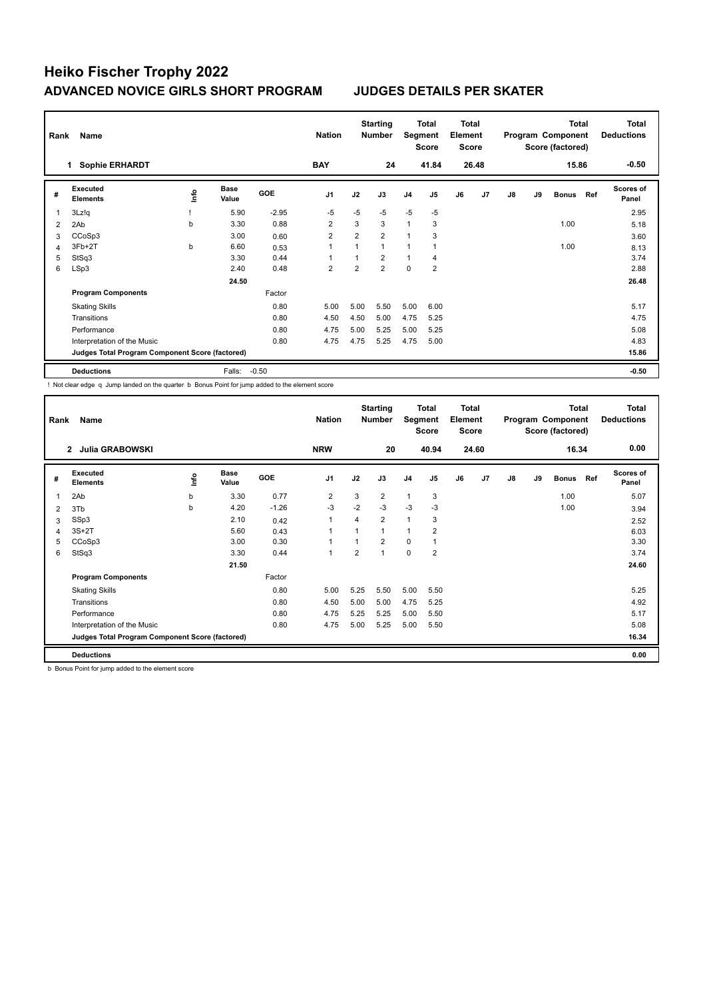| Rank | Name                                            |    |                      |         | <b>Nation</b>  |                | <b>Starting</b><br>Number | Segment        | <b>Total</b><br><b>Score</b> | <b>Total</b><br>Element<br><b>Score</b> |       |    |    | <b>Total</b><br>Program Component<br>Score (factored) |     | <b>Total</b><br><b>Deductions</b> |
|------|-------------------------------------------------|----|----------------------|---------|----------------|----------------|---------------------------|----------------|------------------------------|-----------------------------------------|-------|----|----|-------------------------------------------------------|-----|-----------------------------------|
|      | <b>Sophie ERHARDT</b><br>1.                     |    |                      |         | <b>BAY</b>     |                | 24                        |                | 41.84                        |                                         | 26.48 |    |    | 15.86                                                 |     | $-0.50$                           |
| #    | Executed<br><b>Elements</b>                     | ۴ů | <b>Base</b><br>Value | GOE     | J <sub>1</sub> | J2             | J3                        | J <sub>4</sub> | J5                           | J6                                      | J7    | J8 | J9 | <b>Bonus</b>                                          | Ref | <b>Scores of</b><br>Panel         |
| 1    | 3Lz!q                                           |    | 5.90                 | $-2.95$ | $-5$           | $-5$           | $-5$                      | $-5$           | $-5$                         |                                         |       |    |    |                                                       |     | 2.95                              |
| 2    | 2Ab                                             | b  | 3.30                 | 0.88    | $\overline{2}$ | 3              | 3                         | $\overline{1}$ | 3                            |                                         |       |    |    | 1.00                                                  |     | 5.18                              |
| 3    | CCoSp3                                          |    | 3.00                 | 0.60    | $\overline{2}$ | $\overline{2}$ | $\overline{2}$            | 1              | 3                            |                                         |       |    |    |                                                       |     | 3.60                              |
| 4    | $3Fb+2T$                                        | b  | 6.60                 | 0.53    | $\overline{1}$ | 1              | 1                         | 1              |                              |                                         |       |    |    | 1.00                                                  |     | 8.13                              |
| 5    | StSq3                                           |    | 3.30                 | 0.44    | $\overline{ }$ | 1              | $\overline{2}$            | $\mathbf{1}$   | 4                            |                                         |       |    |    |                                                       |     | 3.74                              |
| 6    | LSp3                                            |    | 2.40                 | 0.48    | $\overline{2}$ | $\overline{2}$ | $\overline{2}$            | $\mathbf 0$    | $\overline{2}$               |                                         |       |    |    |                                                       |     | 2.88                              |
|      |                                                 |    | 24.50                |         |                |                |                           |                |                              |                                         |       |    |    |                                                       |     | 26.48                             |
|      | <b>Program Components</b>                       |    |                      | Factor  |                |                |                           |                |                              |                                         |       |    |    |                                                       |     |                                   |
|      | <b>Skating Skills</b>                           |    |                      | 0.80    | 5.00           | 5.00           | 5.50                      | 5.00           | 6.00                         |                                         |       |    |    |                                                       |     | 5.17                              |
|      | Transitions                                     |    |                      | 0.80    | 4.50           | 4.50           | 5.00                      | 4.75           | 5.25                         |                                         |       |    |    |                                                       |     | 4.75                              |
|      | Performance                                     |    |                      | 0.80    | 4.75           | 5.00           | 5.25                      | 5.00           | 5.25                         |                                         |       |    |    |                                                       |     | 5.08                              |
|      | Interpretation of the Music                     |    |                      | 0.80    | 4.75           | 4.75           | 5.25                      | 4.75           | 5.00                         |                                         |       |    |    |                                                       |     | 4.83                              |
|      | Judges Total Program Component Score (factored) |    |                      |         |                |                |                           |                |                              |                                         |       |    |    |                                                       |     | 15.86                             |
|      | <b>Deductions</b>                               |    | Falls:               | $-0.50$ |                |                |                           |                |                              |                                         |       |    |    |                                                       |     | $-0.50$                           |

! Not clear edge q Jump landed on the quarter b Bonus Point for jump added to the element score

| Rank | Name                                            |      |                      |         | <b>Nation</b>            |                | <b>Starting</b><br><b>Number</b> | Segment        | Total<br><b>Score</b> | Total<br>Element<br><b>Score</b> |                |    |    | <b>Total</b><br>Program Component<br>Score (factored) |     | Total<br><b>Deductions</b> |
|------|-------------------------------------------------|------|----------------------|---------|--------------------------|----------------|----------------------------------|----------------|-----------------------|----------------------------------|----------------|----|----|-------------------------------------------------------|-----|----------------------------|
|      | <b>Julia GRABOWSKI</b><br>$\mathbf{2}$          |      |                      |         | <b>NRW</b>               |                | 20                               |                | 40.94                 |                                  | 24.60          |    |    | 16.34                                                 |     | 0.00                       |
| #    | Executed<br><b>Elements</b>                     | ١nf٥ | <b>Base</b><br>Value | GOE     | J <sub>1</sub>           | J2             | J3                               | J <sub>4</sub> | J <sub>5</sub>        | J6                               | J <sub>7</sub> | J8 | J9 | <b>Bonus</b>                                          | Ref | <b>Scores of</b><br>Panel  |
| 1    | 2Ab                                             | b    | 3.30                 | 0.77    | $\overline{2}$           | 3              | $\overline{2}$                   | $\mathbf{1}$   | 3                     |                                  |                |    |    | 1.00                                                  |     | 5.07                       |
| 2    | 3Tb                                             | b    | 4.20                 | $-1.26$ | -3                       | $-2$           | $-3$                             | $-3$           | -3                    |                                  |                |    |    | 1.00                                                  |     | 3.94                       |
| 3    | SSp3                                            |      | 2.10                 | 0.42    | $\overline{1}$           | 4              | $\overline{2}$                   | $\mathbf{1}$   | 3                     |                                  |                |    |    |                                                       |     | 2.52                       |
| 4    | $3S+2T$                                         |      | 5.60                 | 0.43    | $\overline{\phantom{a}}$ | 1              | $\overline{1}$                   | 1              | 2                     |                                  |                |    |    |                                                       |     | 6.03                       |
| 5    | CCoSp3                                          |      | 3.00                 | 0.30    | 1                        |                | $\overline{2}$                   | 0              | $\overline{1}$        |                                  |                |    |    |                                                       |     | 3.30                       |
| 6    | StSq3                                           |      | 3.30                 | 0.44    | -1                       | $\overline{2}$ | $\overline{1}$                   | 0              | $\overline{2}$        |                                  |                |    |    |                                                       |     | 3.74                       |
|      |                                                 |      | 21.50                |         |                          |                |                                  |                |                       |                                  |                |    |    |                                                       |     | 24.60                      |
|      | <b>Program Components</b>                       |      |                      | Factor  |                          |                |                                  |                |                       |                                  |                |    |    |                                                       |     |                            |
|      | <b>Skating Skills</b>                           |      |                      | 0.80    | 5.00                     | 5.25           | 5.50                             | 5.00           | 5.50                  |                                  |                |    |    |                                                       |     | 5.25                       |
|      | Transitions                                     |      |                      | 0.80    | 4.50                     | 5.00           | 5.00                             | 4.75           | 5.25                  |                                  |                |    |    |                                                       |     | 4.92                       |
|      | Performance                                     |      |                      | 0.80    | 4.75                     | 5.25           | 5.25                             | 5.00           | 5.50                  |                                  |                |    |    |                                                       |     | 5.17                       |
|      | Interpretation of the Music                     |      |                      | 0.80    | 4.75                     | 5.00           | 5.25                             | 5.00           | 5.50                  |                                  |                |    |    |                                                       |     | 5.08                       |
|      | Judges Total Program Component Score (factored) |      |                      |         |                          |                |                                  |                |                       |                                  |                |    |    |                                                       |     | 16.34                      |
|      | <b>Deductions</b>                               |      |                      |         |                          |                |                                  |                |                       |                                  |                |    |    |                                                       |     | 0.00                       |

b Bonus Point for jump added to the element score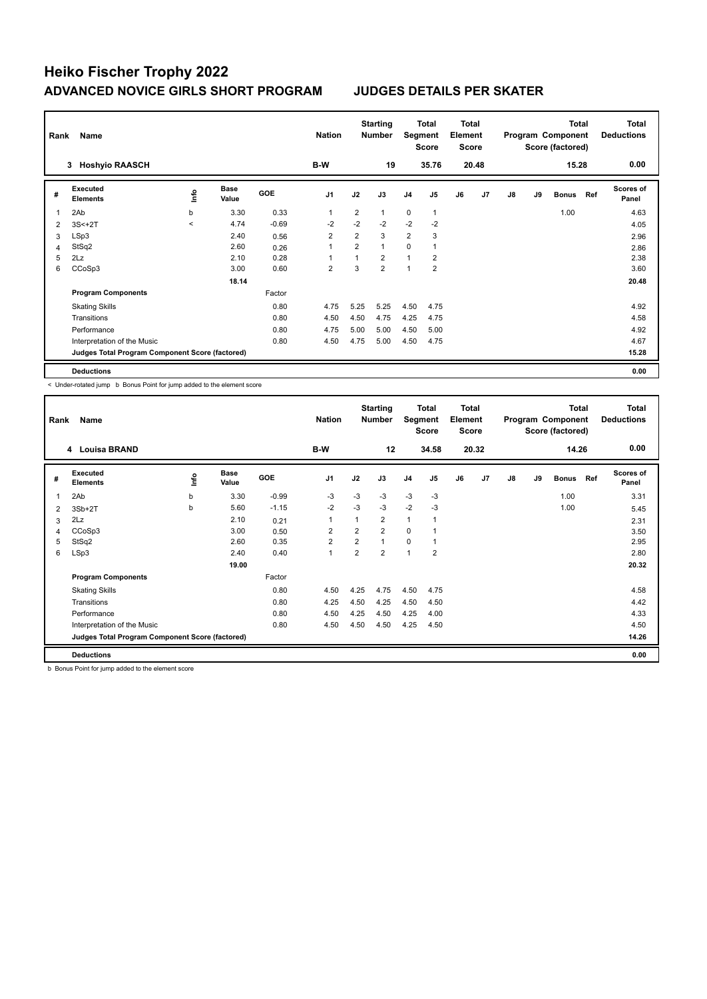| Rank | Name                                            |         |                      |            | <b>Nation</b>  |                | <b>Starting</b><br>Number | Segment        | Total<br><b>Score</b> | <b>Total</b><br>Element<br><b>Score</b> |                |    |    | <b>Total</b><br>Program Component<br>Score (factored) |     | <b>Total</b><br><b>Deductions</b> |
|------|-------------------------------------------------|---------|----------------------|------------|----------------|----------------|---------------------------|----------------|-----------------------|-----------------------------------------|----------------|----|----|-------------------------------------------------------|-----|-----------------------------------|
|      | <b>Hoshyio RAASCH</b><br>3                      |         |                      |            | B-W            |                | 19                        |                | 35.76                 |                                         | 20.48          |    |    | 15.28                                                 |     | 0.00                              |
| #    | Executed<br><b>Elements</b>                     | Info    | <b>Base</b><br>Value | <b>GOE</b> | J <sub>1</sub> | J2             | J3                        | J <sub>4</sub> | J <sub>5</sub>        | J6                                      | J <sub>7</sub> | J8 | J9 | <b>Bonus</b>                                          | Ref | Scores of<br>Panel                |
| 1    | 2Ab                                             | b       | 3.30                 | 0.33       | $\mathbf{1}$   | $\overline{2}$ | 1                         | $\mathbf 0$    | $\mathbf{1}$          |                                         |                |    |    | 1.00                                                  |     | 4.63                              |
| 2    | $3S<+2T$                                        | $\prec$ | 4.74                 | $-0.69$    | $-2$           | $-2$           | $-2$                      | $-2$           | $-2$                  |                                         |                |    |    |                                                       |     | 4.05                              |
| 3    | LSp3                                            |         | 2.40                 | 0.56       | $\overline{2}$ | $\overline{2}$ | 3                         | $\overline{2}$ | 3                     |                                         |                |    |    |                                                       |     | 2.96                              |
| 4    | StSq2                                           |         | 2.60                 | 0.26       | $\overline{1}$ | $\overline{2}$ | 1                         | $\mathbf 0$    | 1                     |                                         |                |    |    |                                                       |     | 2.86                              |
| 5    | 2Lz                                             |         | 2.10                 | 0.28       | $\overline{ }$ | $\overline{1}$ | 2                         | $\overline{1}$ | 2                     |                                         |                |    |    |                                                       |     | 2.38                              |
| 6    | CCoSp3                                          |         | 3.00                 | 0.60       | $\overline{2}$ | 3              | $\overline{2}$            | $\overline{1}$ | $\overline{2}$        |                                         |                |    |    |                                                       |     | 3.60                              |
|      |                                                 |         | 18.14                |            |                |                |                           |                |                       |                                         |                |    |    |                                                       |     | 20.48                             |
|      | <b>Program Components</b>                       |         |                      | Factor     |                |                |                           |                |                       |                                         |                |    |    |                                                       |     |                                   |
|      | <b>Skating Skills</b>                           |         |                      | 0.80       | 4.75           | 5.25           | 5.25                      | 4.50           | 4.75                  |                                         |                |    |    |                                                       |     | 4.92                              |
|      | Transitions                                     |         |                      | 0.80       | 4.50           | 4.50           | 4.75                      | 4.25           | 4.75                  |                                         |                |    |    |                                                       |     | 4.58                              |
|      | Performance                                     |         |                      | 0.80       | 4.75           | 5.00           | 5.00                      | 4.50           | 5.00                  |                                         |                |    |    |                                                       |     | 4.92                              |
|      | Interpretation of the Music                     |         |                      | 0.80       | 4.50           | 4.75           | 5.00                      | 4.50           | 4.75                  |                                         |                |    |    |                                                       |     | 4.67                              |
|      | Judges Total Program Component Score (factored) |         |                      |            |                |                |                           |                |                       |                                         |                |    |    |                                                       |     | 15.28                             |
|      | <b>Deductions</b>                               |         |                      |            |                |                |                           |                |                       |                                         |                |    |    |                                                       |     | 0.00                              |

< Under-rotated jump b Bonus Point for jump added to the element score

| Rank           | Name                                            |    |                      |         | <b>Nation</b>  |                | <b>Starting</b><br><b>Number</b> | Segment        | Total<br><b>Score</b> | Total<br>Element<br><b>Score</b> |                |               |    | <b>Total</b><br>Program Component<br>Score (factored) |     | <b>Total</b><br><b>Deductions</b> |
|----------------|-------------------------------------------------|----|----------------------|---------|----------------|----------------|----------------------------------|----------------|-----------------------|----------------------------------|----------------|---------------|----|-------------------------------------------------------|-----|-----------------------------------|
|                | 4 Louisa BRAND                                  |    |                      |         | B-W            |                | 12                               |                | 34.58                 |                                  | 20.32          |               |    | 14.26                                                 |     | 0.00                              |
| #              | Executed<br><b>Elements</b>                     | ۴ů | <b>Base</b><br>Value | GOE     | J <sub>1</sub> | J2             | J3                               | J <sub>4</sub> | J <sub>5</sub>        | J6                               | J <sub>7</sub> | $\mathsf{J}8$ | J9 | <b>Bonus</b>                                          | Ref | Scores of<br>Panel                |
| 1              | 2Ab                                             | b  | 3.30                 | $-0.99$ | -3             | $-3$           | $-3$                             | $-3$           | -3                    |                                  |                |               |    | 1.00                                                  |     | 3.31                              |
| $\overline{2}$ | $3Sb+2T$                                        | b  | 5.60                 | $-1.15$ | $-2$           | $-3$           | $-3$                             | $-2$           | $-3$                  |                                  |                |               |    | 1.00                                                  |     | 5.45                              |
| 3              | 2Lz                                             |    | 2.10                 | 0.21    | 1              | 1              | $\overline{2}$                   | $\mathbf{1}$   | 1                     |                                  |                |               |    |                                                       |     | 2.31                              |
| 4              | CCoSp3                                          |    | 3.00                 | 0.50    | $\overline{2}$ | 2              | $\overline{2}$                   | $\mathbf 0$    | 1                     |                                  |                |               |    |                                                       |     | 3.50                              |
| 5              | StSq2                                           |    | 2.60                 | 0.35    | $\overline{2}$ | 2              | $\overline{1}$                   | $\mathbf 0$    | $\overline{1}$        |                                  |                |               |    |                                                       |     | 2.95                              |
| 6              | LSp3                                            |    | 2.40                 | 0.40    | $\overline{1}$ | $\overline{2}$ | $\overline{2}$                   | 1              | $\overline{2}$        |                                  |                |               |    |                                                       |     | 2.80                              |
|                |                                                 |    | 19.00                |         |                |                |                                  |                |                       |                                  |                |               |    |                                                       |     | 20.32                             |
|                | <b>Program Components</b>                       |    |                      | Factor  |                |                |                                  |                |                       |                                  |                |               |    |                                                       |     |                                   |
|                | <b>Skating Skills</b>                           |    |                      | 0.80    | 4.50           | 4.25           | 4.75                             | 4.50           | 4.75                  |                                  |                |               |    |                                                       |     | 4.58                              |
|                | Transitions                                     |    |                      | 0.80    | 4.25           | 4.50           | 4.25                             | 4.50           | 4.50                  |                                  |                |               |    |                                                       |     | 4.42                              |
|                | Performance                                     |    |                      | 0.80    | 4.50           | 4.25           | 4.50                             | 4.25           | 4.00                  |                                  |                |               |    |                                                       |     | 4.33                              |
|                | Interpretation of the Music                     |    |                      | 0.80    | 4.50           | 4.50           | 4.50                             | 4.25           | 4.50                  |                                  |                |               |    |                                                       |     | 4.50                              |
|                | Judges Total Program Component Score (factored) |    |                      |         |                |                |                                  |                |                       |                                  |                |               |    |                                                       |     | 14.26                             |
|                | <b>Deductions</b>                               |    |                      |         |                |                |                                  |                |                       |                                  |                |               |    |                                                       |     | 0.00                              |

b Bonus Point for jump added to the element score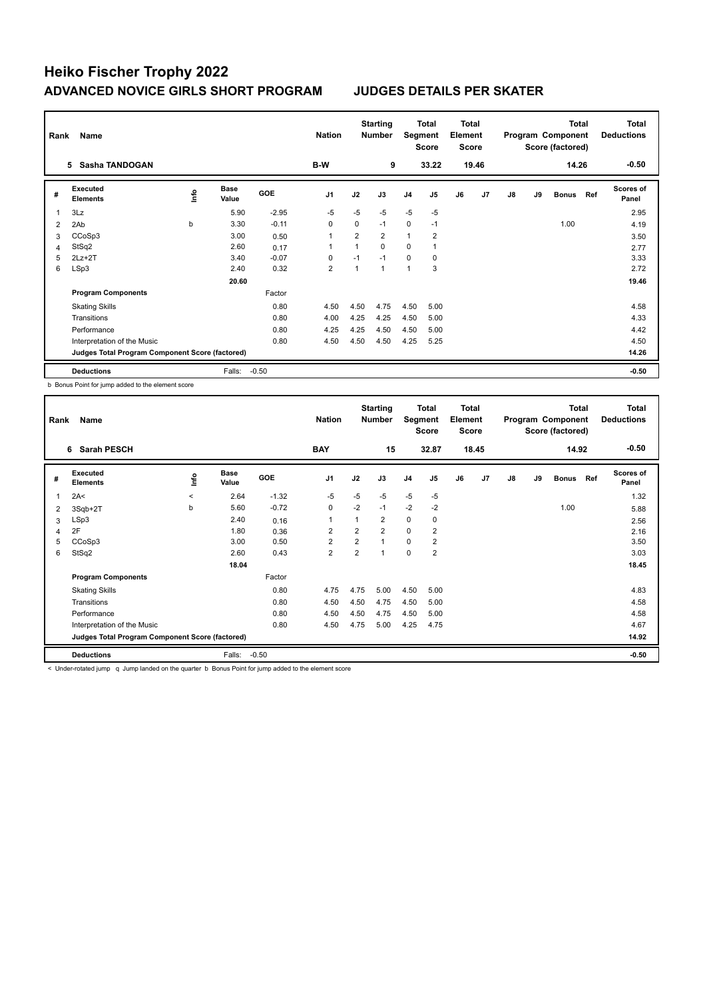| Rank           | Name                                            |             |                      |            | <b>Nation</b>  |                | <b>Starting</b><br><b>Number</b> | Segment        | <b>Total</b><br><b>Score</b> | <b>Total</b><br>Element<br><b>Score</b> |       |    |    | <b>Total</b><br>Program Component<br>Score (factored) |     | Total<br><b>Deductions</b> |
|----------------|-------------------------------------------------|-------------|----------------------|------------|----------------|----------------|----------------------------------|----------------|------------------------------|-----------------------------------------|-------|----|----|-------------------------------------------------------|-----|----------------------------|
|                | Sasha TANDOGAN<br>5.                            |             |                      |            | B-W            |                | 9                                |                | 33.22                        |                                         | 19.46 |    |    | 14.26                                                 |     | $-0.50$                    |
| #              | Executed<br><b>Elements</b>                     | <u>info</u> | <b>Base</b><br>Value | <b>GOE</b> | J <sub>1</sub> | J2             | J3                               | J <sub>4</sub> | J5                           | J6                                      | J7    | J8 | J9 | <b>Bonus</b>                                          | Ref | <b>Scores of</b><br>Panel  |
| $\overline{1}$ | 3Lz                                             |             | 5.90                 | $-2.95$    | $-5$           | $-5$           | $-5$                             | $-5$           | $-5$                         |                                         |       |    |    |                                                       |     | 2.95                       |
| 2              | 2Ab                                             | b           | 3.30                 | $-0.11$    | 0              | 0              | $-1$                             | 0              | $-1$                         |                                         |       |    |    | 1.00                                                  |     | 4.19                       |
| 3              | CCoSp3                                          |             | 3.00                 | 0.50       | 1              | $\overline{2}$ | $\overline{2}$                   | $\mathbf{1}$   | $\overline{2}$               |                                         |       |    |    |                                                       |     | 3.50                       |
| $\overline{4}$ | StSq2                                           |             | 2.60                 | 0.17       | 1              |                | 0                                | 0              |                              |                                         |       |    |    |                                                       |     | 2.77                       |
| 5              | $2Lz+2T$                                        |             | 3.40                 | $-0.07$    | 0              | $-1$           | $-1$                             | $\mathbf 0$    | $\mathbf 0$                  |                                         |       |    |    |                                                       |     | 3.33                       |
| 6              | LSp3                                            |             | 2.40                 | 0.32       | 2              |                | $\mathbf{1}$                     | 1              | 3                            |                                         |       |    |    |                                                       |     | 2.72                       |
|                |                                                 |             | 20.60                |            |                |                |                                  |                |                              |                                         |       |    |    |                                                       |     | 19.46                      |
|                | <b>Program Components</b>                       |             |                      | Factor     |                |                |                                  |                |                              |                                         |       |    |    |                                                       |     |                            |
|                | <b>Skating Skills</b>                           |             |                      | 0.80       | 4.50           | 4.50           | 4.75                             | 4.50           | 5.00                         |                                         |       |    |    |                                                       |     | 4.58                       |
|                | Transitions                                     |             |                      | 0.80       | 4.00           | 4.25           | 4.25                             | 4.50           | 5.00                         |                                         |       |    |    |                                                       |     | 4.33                       |
|                | Performance                                     |             |                      | 0.80       | 4.25           | 4.25           | 4.50                             | 4.50           | 5.00                         |                                         |       |    |    |                                                       |     | 4.42                       |
|                | Interpretation of the Music                     |             |                      | 0.80       | 4.50           | 4.50           | 4.50                             | 4.25           | 5.25                         |                                         |       |    |    |                                                       |     | 4.50                       |
|                | Judges Total Program Component Score (factored) |             |                      |            |                |                |                                  |                |                              |                                         |       |    |    |                                                       |     | 14.26                      |
|                | <b>Deductions</b>                               |             | Falls:               | $-0.50$    |                |                |                                  |                |                              |                                         |       |    |    |                                                       |     | $-0.50$                    |

b Bonus Point for jump added to the element score

| Rank | Name                                            |         |                      |         | <b>Nation</b>  |      | <b>Starting</b><br><b>Number</b> | Segment        | Total<br><b>Score</b> | Total<br>Element<br><b>Score</b> |                |    |    | <b>Total</b><br>Program Component<br>Score (factored) |     | Total<br><b>Deductions</b> |
|------|-------------------------------------------------|---------|----------------------|---------|----------------|------|----------------------------------|----------------|-----------------------|----------------------------------|----------------|----|----|-------------------------------------------------------|-----|----------------------------|
|      | <b>Sarah PESCH</b><br>6                         |         |                      |         | <b>BAY</b>     |      | 15                               |                | 32.87                 |                                  | 18.45          |    |    | 14.92                                                 |     | $-0.50$                    |
| #    | Executed<br><b>Elements</b>                     | lnfo    | <b>Base</b><br>Value | GOE     | J <sub>1</sub> | J2   | J3                               | J <sub>4</sub> | J <sub>5</sub>        | J6                               | J <sub>7</sub> | J8 | J9 | <b>Bonus</b>                                          | Ref | <b>Scores of</b><br>Panel  |
| 1    | 2A<                                             | $\,<\,$ | 2.64                 | $-1.32$ | $-5$           | $-5$ | $-5$                             | $-5$           | -5                    |                                  |                |    |    |                                                       |     | 1.32                       |
| 2    | 3Sqb+2T                                         | b       | 5.60                 | $-0.72$ | 0              | $-2$ | $-1$                             | $-2$           | $-2$                  |                                  |                |    |    | 1.00                                                  |     | 5.88                       |
| 3    | LSp3                                            |         | 2.40                 | 0.16    | $\overline{1}$ | 1    | $\overline{2}$                   | $\mathbf 0$    | 0                     |                                  |                |    |    |                                                       |     | 2.56                       |
| 4    | 2F                                              |         | 1.80                 | 0.36    | $\overline{2}$ | 2    | $\overline{2}$                   | $\mathbf 0$    | $\overline{2}$        |                                  |                |    |    |                                                       |     | 2.16                       |
| 5    | CCoSp3                                          |         | 3.00                 | 0.50    | $\overline{2}$ | 2    | 1                                | 0              | $\overline{2}$        |                                  |                |    |    |                                                       |     | 3.50                       |
| 6    | StSq2                                           |         | 2.60                 | 0.43    | $\overline{2}$ | 2    |                                  | $\mathbf 0$    | $\overline{2}$        |                                  |                |    |    |                                                       |     | 3.03                       |
|      |                                                 |         | 18.04                |         |                |      |                                  |                |                       |                                  |                |    |    |                                                       |     | 18.45                      |
|      | <b>Program Components</b>                       |         |                      | Factor  |                |      |                                  |                |                       |                                  |                |    |    |                                                       |     |                            |
|      | <b>Skating Skills</b>                           |         |                      | 0.80    | 4.75           | 4.75 | 5.00                             | 4.50           | 5.00                  |                                  |                |    |    |                                                       |     | 4.83                       |
|      | Transitions                                     |         |                      | 0.80    | 4.50           | 4.50 | 4.75                             | 4.50           | 5.00                  |                                  |                |    |    |                                                       |     | 4.58                       |
|      | Performance                                     |         |                      | 0.80    | 4.50           | 4.50 | 4.75                             | 4.50           | 5.00                  |                                  |                |    |    |                                                       |     | 4.58                       |
|      | Interpretation of the Music                     |         |                      | 0.80    | 4.50           | 4.75 | 5.00                             | 4.25           | 4.75                  |                                  |                |    |    |                                                       |     | 4.67                       |
|      | Judges Total Program Component Score (factored) |         |                      |         |                |      |                                  |                |                       |                                  |                |    |    |                                                       |     | 14.92                      |
|      | <b>Deductions</b>                               |         | Falls:               | $-0.50$ |                |      |                                  |                |                       |                                  |                |    |    |                                                       |     | $-0.50$                    |

< Under-rotated jump q Jump landed on the quarter b Bonus Point for jump added to the element score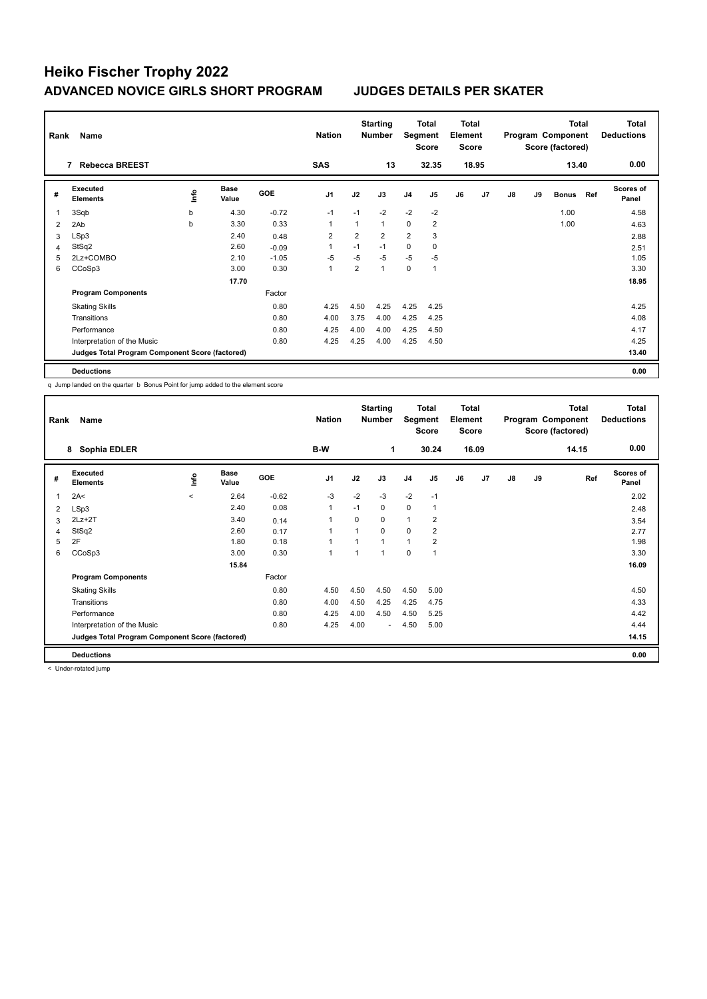| Rank           | Name                                            |      |               |            | <b>Nation</b>  |                | <b>Starting</b><br><b>Number</b> | Segment        | Total<br><b>Score</b> | <b>Total</b><br>Element<br><b>Score</b> |                |    |    | <b>Total</b><br>Program Component<br>Score (factored) |     | <b>Total</b><br><b>Deductions</b> |
|----------------|-------------------------------------------------|------|---------------|------------|----------------|----------------|----------------------------------|----------------|-----------------------|-----------------------------------------|----------------|----|----|-------------------------------------------------------|-----|-----------------------------------|
|                | <b>Rebecca BREEST</b><br>7                      |      |               |            | <b>SAS</b>     |                | 13                               |                | 32.35                 |                                         | 18.95          |    |    | 13.40                                                 |     | 0.00                              |
| #              | Executed<br><b>Elements</b>                     | ١nto | Base<br>Value | <b>GOE</b> | J <sub>1</sub> | J2             | J3                               | J <sub>4</sub> | J <sub>5</sub>        | J6                                      | J <sub>7</sub> | J8 | J9 | <b>Bonus</b>                                          | Ref | <b>Scores of</b><br>Panel         |
| 1              | 3Sqb                                            | b    | 4.30          | $-0.72$    | $-1$           | $-1$           | $-2$                             | $-2$           | $-2$                  |                                         |                |    |    | 1.00                                                  |     | 4.58                              |
| 2              | 2Ab                                             | b    | 3.30          | 0.33       | $\overline{1}$ | 1              | 1                                | 0              | $\overline{2}$        |                                         |                |    |    | 1.00                                                  |     | 4.63                              |
| 3              | LSp3                                            |      | 2.40          | 0.48       | $\overline{2}$ | 2              | $\overline{2}$                   | $\overline{2}$ | 3                     |                                         |                |    |    |                                                       |     | 2.88                              |
| $\overline{4}$ | StSq2                                           |      | 2.60          | $-0.09$    |                | $-1$           | $-1$                             | 0              | 0                     |                                         |                |    |    |                                                       |     | 2.51                              |
| 5              | 2Lz+COMBO                                       |      | 2.10          | $-1.05$    | $-5$           | $-5$           | $-5$                             | $-5$           | -5                    |                                         |                |    |    |                                                       |     | 1.05                              |
| 6              | CCoSp3                                          |      | 3.00          | 0.30       | $\mathbf{1}$   | $\overline{2}$ | 1                                | $\mathbf 0$    | $\mathbf{1}$          |                                         |                |    |    |                                                       |     | 3.30                              |
|                |                                                 |      | 17.70         |            |                |                |                                  |                |                       |                                         |                |    |    |                                                       |     | 18.95                             |
|                | <b>Program Components</b>                       |      |               | Factor     |                |                |                                  |                |                       |                                         |                |    |    |                                                       |     |                                   |
|                | <b>Skating Skills</b>                           |      |               | 0.80       | 4.25           | 4.50           | 4.25                             | 4.25           | 4.25                  |                                         |                |    |    |                                                       |     | 4.25                              |
|                | Transitions                                     |      |               | 0.80       | 4.00           | 3.75           | 4.00                             | 4.25           | 4.25                  |                                         |                |    |    |                                                       |     | 4.08                              |
|                | Performance                                     |      |               | 0.80       | 4.25           | 4.00           | 4.00                             | 4.25           | 4.50                  |                                         |                |    |    |                                                       |     | 4.17                              |
|                | Interpretation of the Music                     |      |               | 0.80       | 4.25           | 4.25           | 4.00                             | 4.25           | 4.50                  |                                         |                |    |    |                                                       |     | 4.25                              |
|                | Judges Total Program Component Score (factored) |      |               |            |                |                |                                  |                |                       |                                         |                |    |    |                                                       |     | 13.40                             |
|                | <b>Deductions</b>                               |      |               |            |                |                |                                  |                |                       |                                         |                |    |    |                                                       |     | 0.00                              |

q Jump landed on the quarter b Bonus Point for jump added to the element score

| Rank           | Name                                            |         |                      |         | <b>Nation</b>  |          | <b>Starting</b><br><b>Number</b> | Segment        | Total<br><b>Score</b> | <b>Total</b><br>Element<br><b>Score</b> |       |               |    | <b>Total</b><br>Program Component<br>Score (factored) | <b>Total</b><br><b>Deductions</b> |
|----------------|-------------------------------------------------|---------|----------------------|---------|----------------|----------|----------------------------------|----------------|-----------------------|-----------------------------------------|-------|---------------|----|-------------------------------------------------------|-----------------------------------|
|                | Sophia EDLER<br>8                               |         |                      |         | B-W            |          | 1                                |                | 30.24                 |                                         | 16.09 |               |    | 14.15                                                 | 0.00                              |
| #              | Executed<br><b>Elements</b>                     | ١nf٥    | <b>Base</b><br>Value | GOE     | J <sub>1</sub> | J2       | J3                               | J <sub>4</sub> | J <sub>5</sub>        | J6                                      | J7    | $\mathsf{J}8$ | J9 | Ref                                                   | Scores of<br>Panel                |
| $\overline{1}$ | 2A<                                             | $\prec$ | 2.64                 | $-0.62$ | $-3$           | $-2$     | $-3$                             | $-2$           | $-1$                  |                                         |       |               |    |                                                       | 2.02                              |
| 2              | LSp3                                            |         | 2.40                 | 0.08    | $\mathbf{1}$   | $-1$     | 0                                | 0              | $\mathbf{1}$          |                                         |       |               |    |                                                       | 2.48                              |
| 3              | $2Lz+2T$                                        |         | 3.40                 | 0.14    |                | $\Omega$ | $\Omega$                         | $\mathbf{1}$   | $\overline{2}$        |                                         |       |               |    |                                                       | 3.54                              |
| 4              | StSq2                                           |         | 2.60                 | 0.17    | -1             |          | $\Omega$                         | $\Omega$       | $\overline{2}$        |                                         |       |               |    |                                                       | 2.77                              |
| 5              | 2F                                              |         | 1.80                 | 0.18    | 1              |          | $\mathbf{1}$                     | $\mathbf{1}$   | $\overline{2}$        |                                         |       |               |    |                                                       | 1.98                              |
| 6              | CCoSp3                                          |         | 3.00                 | 0.30    | 1              |          | $\mathbf{1}$                     | $\mathbf 0$    | 1                     |                                         |       |               |    |                                                       | 3.30                              |
|                |                                                 |         | 15.84                |         |                |          |                                  |                |                       |                                         |       |               |    |                                                       | 16.09                             |
|                | <b>Program Components</b>                       |         |                      | Factor  |                |          |                                  |                |                       |                                         |       |               |    |                                                       |                                   |
|                | <b>Skating Skills</b>                           |         |                      | 0.80    | 4.50           | 4.50     | 4.50                             | 4.50           | 5.00                  |                                         |       |               |    |                                                       | 4.50                              |
|                | Transitions                                     |         |                      | 0.80    | 4.00           | 4.50     | 4.25                             | 4.25           | 4.75                  |                                         |       |               |    |                                                       | 4.33                              |
|                | Performance                                     |         |                      | 0.80    | 4.25           | 4.00     | 4.50                             | 4.50           | 5.25                  |                                         |       |               |    |                                                       | 4.42                              |
|                | Interpretation of the Music                     |         |                      | 0.80    | 4.25           | 4.00     | $\sim$                           | 4.50           | 5.00                  |                                         |       |               |    |                                                       | 4.44                              |
|                | Judges Total Program Component Score (factored) |         |                      |         |                |          |                                  |                |                       |                                         |       |               |    |                                                       | 14.15                             |
|                | <b>Deductions</b>                               |         |                      |         |                |          |                                  |                |                       |                                         |       |               |    |                                                       | 0.00                              |

< Under-rotated jump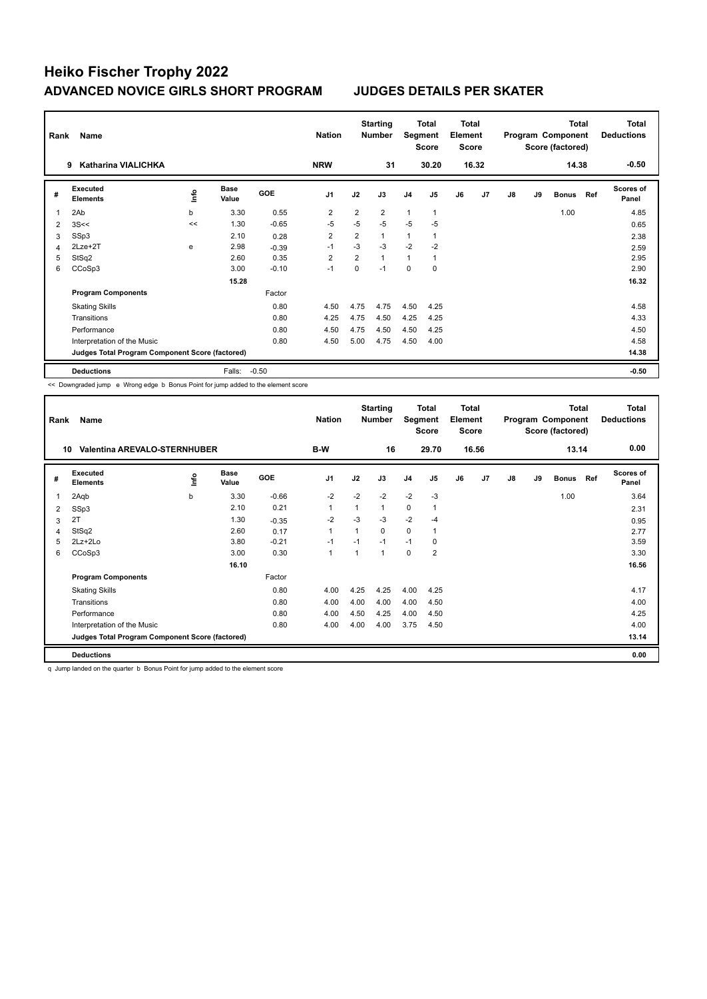| Rank           | Name                                            |      |                      |            | <b>Nation</b>  |                | <b>Starting</b><br><b>Number</b> | Segment        | Total<br><b>Score</b> | <b>Total</b><br>Element<br><b>Score</b> |       |    |    | <b>Total</b><br>Program Component<br>Score (factored) |     | Total<br><b>Deductions</b> |
|----------------|-------------------------------------------------|------|----------------------|------------|----------------|----------------|----------------------------------|----------------|-----------------------|-----------------------------------------|-------|----|----|-------------------------------------------------------|-----|----------------------------|
|                | Katharina VIALICHKA<br>9                        |      |                      |            | <b>NRW</b>     |                | 31                               |                | 30.20                 |                                         | 16.32 |    |    | 14.38                                                 |     | $-0.50$                    |
| #              | Executed<br><b>Elements</b>                     | ١nfo | <b>Base</b><br>Value | <b>GOE</b> | J <sub>1</sub> | J2             | J3                               | J <sub>4</sub> | J <sub>5</sub>        | J6                                      | J7    | J8 | J9 | <b>Bonus</b>                                          | Ref | <b>Scores of</b><br>Panel  |
| 1              | 2Ab                                             | b    | 3.30                 | 0.55       | 2              | $\overline{2}$ | $\overline{2}$                   | $\mathbf{1}$   | $\mathbf{1}$          |                                         |       |    |    | 1.00                                                  |     | 4.85                       |
| $\overline{2}$ | 3S<<                                            | <<   | 1.30                 | $-0.65$    | $-5$           | $-5$           | $-5$                             | $-5$           | $-5$                  |                                         |       |    |    |                                                       |     | 0.65                       |
| 3              | SSp3                                            |      | 2.10                 | 0.28       | $\overline{2}$ | $\overline{2}$ | $\mathbf{1}$                     | 1              |                       |                                         |       |    |    |                                                       |     | 2.38                       |
| 4              | 2Lze+2T                                         | e    | 2.98                 | $-0.39$    | $-1$           | $-3$           | $-3$                             | $-2$           | $-2$                  |                                         |       |    |    |                                                       |     | 2.59                       |
| 5              | StSq2                                           |      | 2.60                 | 0.35       | $\overline{2}$ | $\overline{2}$ | $\mathbf{1}$                     | 1              |                       |                                         |       |    |    |                                                       |     | 2.95                       |
| 6              | CCoSp3                                          |      | 3.00                 | $-0.10$    | $-1$           | 0              | $-1$                             | 0              | 0                     |                                         |       |    |    |                                                       |     | 2.90                       |
|                |                                                 |      | 15.28                |            |                |                |                                  |                |                       |                                         |       |    |    |                                                       |     | 16.32                      |
|                | <b>Program Components</b>                       |      |                      | Factor     |                |                |                                  |                |                       |                                         |       |    |    |                                                       |     |                            |
|                | <b>Skating Skills</b>                           |      |                      | 0.80       | 4.50           | 4.75           | 4.75                             | 4.50           | 4.25                  |                                         |       |    |    |                                                       |     | 4.58                       |
|                | Transitions                                     |      |                      | 0.80       | 4.25           | 4.75           | 4.50                             | 4.25           | 4.25                  |                                         |       |    |    |                                                       |     | 4.33                       |
|                | Performance                                     |      |                      | 0.80       | 4.50           | 4.75           | 4.50                             | 4.50           | 4.25                  |                                         |       |    |    |                                                       |     | 4.50                       |
|                | Interpretation of the Music                     |      |                      | 0.80       | 4.50           | 5.00           | 4.75                             | 4.50           | 4.00                  |                                         |       |    |    |                                                       |     | 4.58                       |
|                | Judges Total Program Component Score (factored) |      |                      |            |                |                |                                  |                |                       |                                         |       |    |    |                                                       |     | 14.38                      |
|                | <b>Deductions</b>                               |      | Falls:               | $-0.50$    |                |                |                                  |                |                       |                                         |       |    |    |                                                       |     | $-0.50$                    |

<< Downgraded jump e Wrong edge b Bonus Point for jump added to the element score

| Rank | Name                                            |      |                      |         | <b>Nation</b>  |      | <b>Starting</b><br><b>Number</b> | Segment        | Total<br><b>Score</b> | <b>Total</b><br>Element<br><b>Score</b> |                |               |    | <b>Total</b><br>Program Component<br>Score (factored) |     | <b>Total</b><br><b>Deductions</b> |
|------|-------------------------------------------------|------|----------------------|---------|----------------|------|----------------------------------|----------------|-----------------------|-----------------------------------------|----------------|---------------|----|-------------------------------------------------------|-----|-----------------------------------|
| 10   | <b>Valentina AREVALO-STERNHUBER</b>             |      |                      |         | B-W            |      | 16                               |                | 29.70                 |                                         | 16.56          |               |    | 13.14                                                 |     | 0.00                              |
| #    | Executed<br><b>Elements</b>                     | lnfo | <b>Base</b><br>Value | GOE     | J <sub>1</sub> | J2   | J3                               | J <sub>4</sub> | J <sub>5</sub>        | J6                                      | J <sub>7</sub> | $\mathsf{J}8$ | J9 | <b>Bonus</b>                                          | Ref | <b>Scores of</b><br>Panel         |
| 1    | 2Aqb                                            | b    | 3.30                 | $-0.66$ | $-2$           | $-2$ | $-2$                             | $-2$           | $-3$                  |                                         |                |               |    | 1.00                                                  |     | 3.64                              |
| 2    | SSp3                                            |      | 2.10                 | 0.21    | 1              | 1    | $\mathbf{1}$                     | 0              | $\mathbf{1}$          |                                         |                |               |    |                                                       |     | 2.31                              |
| 3    | 2T                                              |      | 1.30                 | $-0.35$ | $-2$           | $-3$ | $-3$                             | $-2$           | $-4$                  |                                         |                |               |    |                                                       |     | 0.95                              |
| 4    | StSq2                                           |      | 2.60                 | 0.17    | $\overline{1}$ |      | $\Omega$                         | 0              | $\overline{1}$        |                                         |                |               |    |                                                       |     | 2.77                              |
| 5    | $2Lz + 2Lo$                                     |      | 3.80                 | $-0.21$ | $-1$           | $-1$ | $-1$                             | $-1$           | 0                     |                                         |                |               |    |                                                       |     | 3.59                              |
| 6    | CCoSp3                                          |      | 3.00                 | 0.30    | $\overline{1}$ |      | $\mathbf{1}$                     | $\mathbf 0$    | $\overline{2}$        |                                         |                |               |    |                                                       |     | 3.30                              |
|      |                                                 |      | 16.10                |         |                |      |                                  |                |                       |                                         |                |               |    |                                                       |     | 16.56                             |
|      | <b>Program Components</b>                       |      |                      | Factor  |                |      |                                  |                |                       |                                         |                |               |    |                                                       |     |                                   |
|      | <b>Skating Skills</b>                           |      |                      | 0.80    | 4.00           | 4.25 | 4.25                             | 4.00           | 4.25                  |                                         |                |               |    |                                                       |     | 4.17                              |
|      | Transitions                                     |      |                      | 0.80    | 4.00           | 4.00 | 4.00                             | 4.00           | 4.50                  |                                         |                |               |    |                                                       |     | 4.00                              |
|      | Performance                                     |      |                      | 0.80    | 4.00           | 4.50 | 4.25                             | 4.00           | 4.50                  |                                         |                |               |    |                                                       |     | 4.25                              |
|      | Interpretation of the Music                     |      |                      | 0.80    | 4.00           | 4.00 | 4.00                             | 3.75           | 4.50                  |                                         |                |               |    |                                                       |     | 4.00                              |
|      | Judges Total Program Component Score (factored) |      |                      |         |                |      |                                  |                |                       |                                         |                |               |    |                                                       |     | 13.14                             |
|      | <b>Deductions</b>                               |      |                      |         |                |      |                                  |                |                       |                                         |                |               |    |                                                       |     | 0.00                              |

q Jump landed on the quarter b Bonus Point for jump added to the element score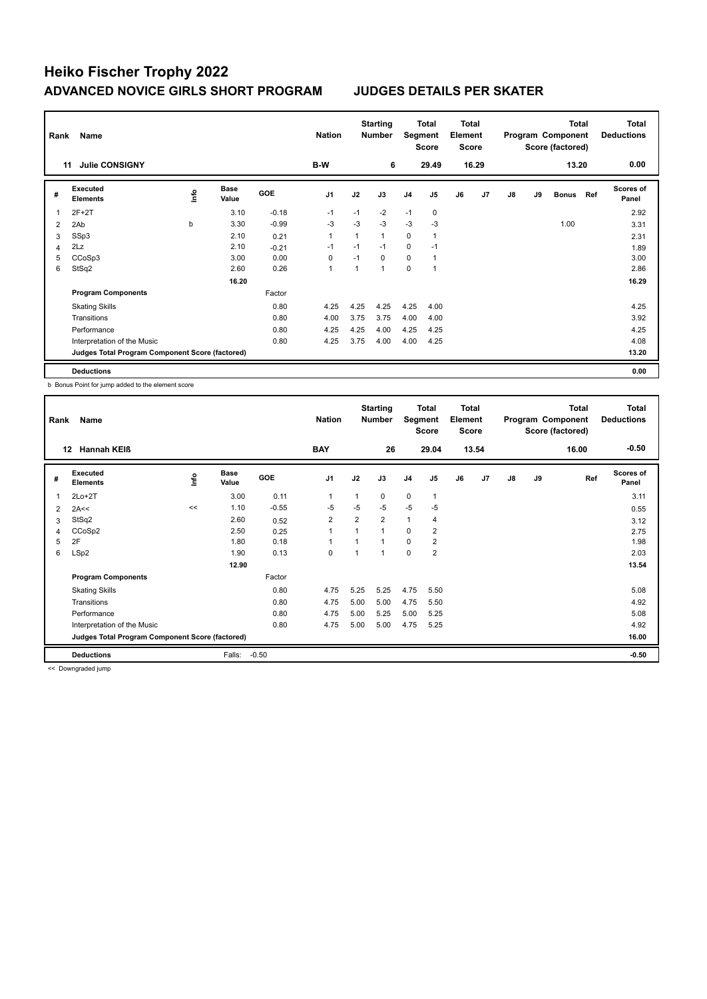| Rank | Name                                            |      |                      |            | <b>Nation</b>  |      | <b>Starting</b><br><b>Number</b> | Segment        | Total<br><b>Score</b> | Total<br>Element<br><b>Score</b> |                |    |    | <b>Total</b><br>Program Component<br>Score (factored) |     | <b>Total</b><br><b>Deductions</b> |
|------|-------------------------------------------------|------|----------------------|------------|----------------|------|----------------------------------|----------------|-----------------------|----------------------------------|----------------|----|----|-------------------------------------------------------|-----|-----------------------------------|
|      | <b>Julie CONSIGNY</b><br>11                     |      |                      |            | B-W            |      | 6                                |                | 29.49                 |                                  | 16.29          |    |    | 13.20                                                 |     | 0.00                              |
| #    | Executed<br><b>Elements</b>                     | Info | <b>Base</b><br>Value | <b>GOE</b> | J <sub>1</sub> | J2   | J3                               | J <sub>4</sub> | J <sub>5</sub>        | J6                               | J <sub>7</sub> | J8 | J9 | <b>Bonus</b>                                          | Ref | <b>Scores of</b><br>Panel         |
| -1   | $2F+2T$                                         |      | 3.10                 | $-0.18$    | $-1$           | $-1$ | $-2$                             | $-1$           | $\mathbf 0$           |                                  |                |    |    |                                                       |     | 2.92                              |
| 2    | 2Ab                                             | b    | 3.30                 | $-0.99$    | -3             | $-3$ | $-3$                             | $-3$           | -3                    |                                  |                |    |    | 1.00                                                  |     | 3.31                              |
| 3    | SSp3                                            |      | 2.10                 | 0.21       | $\overline{1}$ | 1    | 1                                | $\mathbf 0$    | $\mathbf{1}$          |                                  |                |    |    |                                                       |     | 2.31                              |
| 4    | 2Lz                                             |      | 2.10                 | $-0.21$    | $-1$           | $-1$ | $-1$                             | $\mathbf 0$    | $-1$                  |                                  |                |    |    |                                                       |     | 1.89                              |
| 5    | CCoSp3                                          |      | 3.00                 | 0.00       | 0              | $-1$ | $\Omega$                         | $\mathbf 0$    | 1                     |                                  |                |    |    |                                                       |     | 3.00                              |
| 6    | StSq2                                           |      | 2.60                 | 0.26       | $\overline{1}$ | 1    | 1                                | $\mathbf 0$    | 1                     |                                  |                |    |    |                                                       |     | 2.86                              |
|      |                                                 |      | 16.20                |            |                |      |                                  |                |                       |                                  |                |    |    |                                                       |     | 16.29                             |
|      | <b>Program Components</b>                       |      |                      | Factor     |                |      |                                  |                |                       |                                  |                |    |    |                                                       |     |                                   |
|      | <b>Skating Skills</b>                           |      |                      | 0.80       | 4.25           | 4.25 | 4.25                             | 4.25           | 4.00                  |                                  |                |    |    |                                                       |     | 4.25                              |
|      | Transitions                                     |      |                      | 0.80       | 4.00           | 3.75 | 3.75                             | 4.00           | 4.00                  |                                  |                |    |    |                                                       |     | 3.92                              |
|      | Performance                                     |      |                      | 0.80       | 4.25           | 4.25 | 4.00                             | 4.25           | 4.25                  |                                  |                |    |    |                                                       |     | 4.25                              |
|      | Interpretation of the Music                     |      |                      | 0.80       | 4.25           | 3.75 | 4.00                             | 4.00           | 4.25                  |                                  |                |    |    |                                                       |     | 4.08                              |
|      | Judges Total Program Component Score (factored) |      |                      |            |                |      |                                  |                |                       |                                  |                |    |    |                                                       |     | 13.20                             |
|      | <b>Deductions</b>                               |      |                      |            |                |      |                                  |                |                       |                                  |                |    |    |                                                       |     | 0.00                              |

b Bonus Point for jump added to the element score

| Rank           | Name                                            |      |                      |         | <b>Nation</b>  |                | <b>Starting</b><br><b>Number</b> | Segment        | Total<br><b>Score</b> | Total<br>Element<br><b>Score</b> |                |               |    | <b>Total</b><br>Program Component<br>Score (factored) | Total<br><b>Deductions</b> |
|----------------|-------------------------------------------------|------|----------------------|---------|----------------|----------------|----------------------------------|----------------|-----------------------|----------------------------------|----------------|---------------|----|-------------------------------------------------------|----------------------------|
|                | <b>Hannah KEIß</b><br>12                        |      |                      |         | <b>BAY</b>     |                | 26                               |                | 29.04                 |                                  | 13.54          |               |    | 16.00                                                 | $-0.50$                    |
| #              | Executed<br><b>Elements</b>                     | ١nf٥ | <b>Base</b><br>Value | GOE     | J <sub>1</sub> | J2             | J3                               | J <sub>4</sub> | J <sub>5</sub>        | J6                               | J <sub>7</sub> | $\mathsf{J}8$ | J9 | Ref                                                   | <b>Scores of</b><br>Panel  |
| $\overline{1}$ | $2Lo+2T$                                        |      | 3.00                 | 0.11    | $\mathbf{1}$   | 1              | 0                                | $\mathbf 0$    | $\mathbf{1}$          |                                  |                |               |    |                                                       | 3.11                       |
| 2              | 2A<<                                            | <<   | 1.10                 | $-0.55$ | $-5$           | $-5$           | $-5$                             | $-5$           | $-5$                  |                                  |                |               |    |                                                       | 0.55                       |
| 3              | StSq2                                           |      | 2.60                 | 0.52    | $\overline{2}$ | $\overline{2}$ | $\overline{2}$                   | $\overline{1}$ | $\overline{4}$        |                                  |                |               |    |                                                       | 3.12                       |
| 4              | CCoSp2                                          |      | 2.50                 | 0.25    | $\overline{1}$ | $\overline{ }$ | 1                                | 0              | $\overline{2}$        |                                  |                |               |    |                                                       | 2.75                       |
| 5              | 2F                                              |      | 1.80                 | 0.18    |                |                |                                  | $\Omega$       | $\overline{2}$        |                                  |                |               |    |                                                       | 1.98                       |
| 6              | LSp2                                            |      | 1.90                 | 0.13    | 0              | 1              |                                  | $\mathbf 0$    | $\overline{2}$        |                                  |                |               |    |                                                       | 2.03                       |
|                |                                                 |      | 12.90                |         |                |                |                                  |                |                       |                                  |                |               |    |                                                       | 13.54                      |
|                | <b>Program Components</b>                       |      |                      | Factor  |                |                |                                  |                |                       |                                  |                |               |    |                                                       |                            |
|                | <b>Skating Skills</b>                           |      |                      | 0.80    | 4.75           | 5.25           | 5.25                             | 4.75           | 5.50                  |                                  |                |               |    |                                                       | 5.08                       |
|                | Transitions                                     |      |                      | 0.80    | 4.75           | 5.00           | 5.00                             | 4.75           | 5.50                  |                                  |                |               |    |                                                       | 4.92                       |
|                | Performance                                     |      |                      | 0.80    | 4.75           | 5.00           | 5.25                             | 5.00           | 5.25                  |                                  |                |               |    |                                                       | 5.08                       |
|                | Interpretation of the Music                     |      |                      | 0.80    | 4.75           | 5.00           | 5.00                             | 4.75           | 5.25                  |                                  |                |               |    |                                                       | 4.92                       |
|                | Judges Total Program Component Score (factored) |      |                      |         |                |                |                                  |                |                       |                                  |                |               |    |                                                       | 16.00                      |
|                | <b>Deductions</b>                               |      | Falls:               | $-0.50$ |                |                |                                  |                |                       |                                  |                |               |    |                                                       | $-0.50$                    |

<< Downgraded jump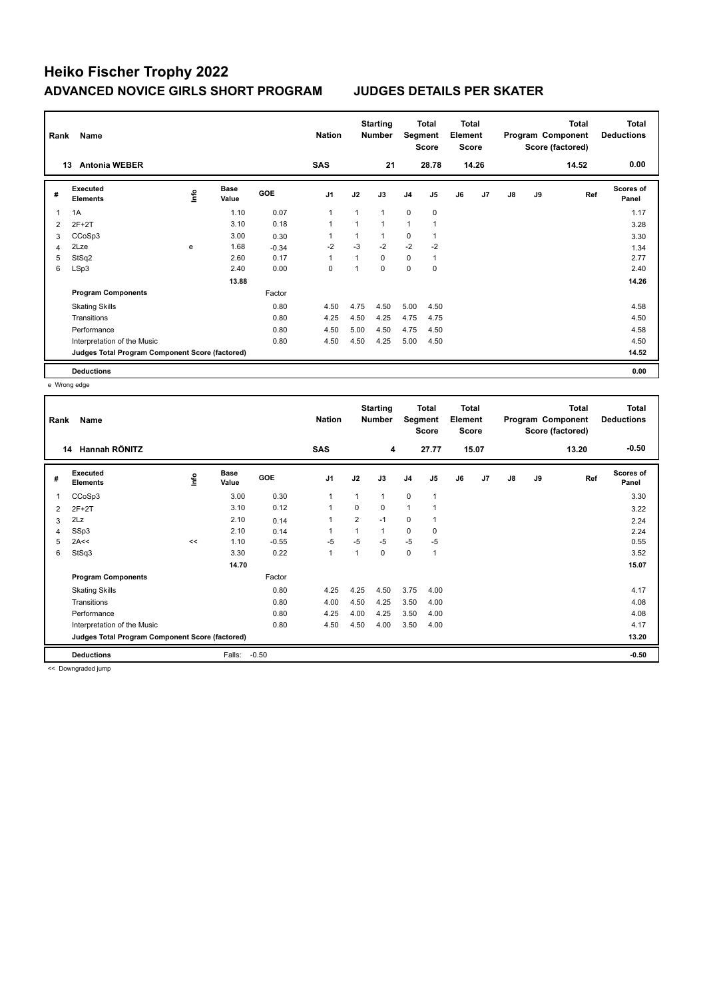| Rank | Name                                            |             | <b>Nation</b>        |            | <b>Starting</b><br><b>Number</b> | Segment | Total<br><b>Score</b> | <b>Total</b><br>Element<br><b>Score</b> |                |    |                | <b>Total</b><br>Program Component<br>Score (factored) | <b>Total</b><br><b>Deductions</b> |       |                           |
|------|-------------------------------------------------|-------------|----------------------|------------|----------------------------------|---------|-----------------------|-----------------------------------------|----------------|----|----------------|-------------------------------------------------------|-----------------------------------|-------|---------------------------|
|      | <b>Antonia WEBER</b><br>13                      |             |                      |            | <b>SAS</b>                       |         | 21                    |                                         | 28.78          |    | 14.26          |                                                       |                                   | 14.52 | 0.00                      |
| #    | Executed<br><b>Elements</b>                     | <u>info</u> | <b>Base</b><br>Value | <b>GOE</b> | J <sub>1</sub>                   | J2      | J3                    | J <sub>4</sub>                          | J <sub>5</sub> | J6 | J <sub>7</sub> | J8                                                    | J9                                | Ref   | <b>Scores of</b><br>Panel |
| 1    | 1A                                              |             | 1.10                 | 0.07       | $\overline{1}$                   |         | $\mathbf{1}$          | $\mathbf 0$                             | $\mathbf 0$    |    |                |                                                       |                                   |       | 1.17                      |
| 2    | $2F+2T$                                         |             | 3.10                 | 0.18       | 1                                |         | $\mathbf{1}$          | $\mathbf{1}$                            | 1              |    |                |                                                       |                                   |       | 3.28                      |
| 3    | CCoSp3                                          |             | 3.00                 | 0.30       | 1                                |         | $\mathbf{1}$          | $\mathbf 0$                             | 1              |    |                |                                                       |                                   |       | 3.30                      |
| 4    | 2Lze                                            | e           | 1.68                 | $-0.34$    | $-2$                             | $-3$    | $-2$                  | $-2$                                    | $-2$           |    |                |                                                       |                                   |       | 1.34                      |
| 5    | StSq2                                           |             | 2.60                 | 0.17       | 1                                |         | $\Omega$              | $\mathbf 0$                             | 1              |    |                |                                                       |                                   |       | 2.77                      |
| 6    | LSp3                                            |             | 2.40                 | 0.00       | 0                                |         | $\Omega$              | $\mathbf 0$                             | $\mathbf 0$    |    |                |                                                       |                                   |       | 2.40                      |
|      |                                                 |             | 13.88                |            |                                  |         |                       |                                         |                |    |                |                                                       |                                   |       | 14.26                     |
|      | <b>Program Components</b>                       |             |                      | Factor     |                                  |         |                       |                                         |                |    |                |                                                       |                                   |       |                           |
|      | <b>Skating Skills</b>                           |             |                      | 0.80       | 4.50                             | 4.75    | 4.50                  | 5.00                                    | 4.50           |    |                |                                                       |                                   |       | 4.58                      |
|      | Transitions                                     |             |                      | 0.80       | 4.25                             | 4.50    | 4.25                  | 4.75                                    | 4.75           |    |                |                                                       |                                   |       | 4.50                      |
|      | Performance                                     |             |                      | 0.80       | 4.50                             | 5.00    | 4.50                  | 4.75                                    | 4.50           |    |                |                                                       |                                   |       | 4.58                      |
|      | Interpretation of the Music                     |             |                      | 0.80       | 4.50                             | 4.50    | 4.25                  | 5.00                                    | 4.50           |    |                |                                                       |                                   |       | 4.50                      |
|      | Judges Total Program Component Score (factored) |             |                      |            |                                  |         |                       |                                         |                |    |                |                                                       |                                   |       | 14.52                     |
|      | <b>Deductions</b>                               |             |                      |            |                                  |         |                       |                                         |                |    |                |                                                       |                                   |       | 0.00                      |

e Wrong edge

| Rank | Name                                            |    |                      |            | <b>Nation</b>  |                | <b>Starting</b><br><b>Number</b> | Segment        | Total<br><b>Score</b> | <b>Total</b><br>Element<br><b>Score</b> |       |    |    | <b>Total</b><br>Program Component<br>Score (factored) | <b>Total</b><br><b>Deductions</b> |
|------|-------------------------------------------------|----|----------------------|------------|----------------|----------------|----------------------------------|----------------|-----------------------|-----------------------------------------|-------|----|----|-------------------------------------------------------|-----------------------------------|
|      | Hannah RÖNITZ<br>14                             |    |                      |            | <b>SAS</b>     |                | 4                                |                | 27.77                 |                                         | 15.07 |    |    | 13.20                                                 | $-0.50$                           |
| #    | Executed<br><b>Elements</b>                     | ۴  | <b>Base</b><br>Value | <b>GOE</b> | J <sub>1</sub> | J2             | J3                               | J <sub>4</sub> | J <sub>5</sub>        | J6                                      | J7    | J8 | J9 | Ref                                                   | Scores of<br>Panel                |
| 1    | CCoSp3                                          |    | 3.00                 | 0.30       | $\overline{1}$ | 1              | $\mathbf{1}$                     | $\mathbf 0$    | $\mathbf{1}$          |                                         |       |    |    |                                                       | 3.30                              |
| 2    | $2F+2T$                                         |    | 3.10                 | 0.12       | $\overline{1}$ | 0              | 0                                | 1              |                       |                                         |       |    |    |                                                       | 3.22                              |
| 3    | 2Lz                                             |    | 2.10                 | 0.14       | -1             | $\overline{2}$ | $-1$                             | 0              | $\mathbf 1$           |                                         |       |    |    |                                                       | 2.24                              |
| 4    | SSp3                                            |    | 2.10                 | 0.14       |                |                | $\mathbf{1}$                     | $\mathbf 0$    | $\mathbf 0$           |                                         |       |    |    |                                                       | 2.24                              |
| 5    | 2A<<                                            | << | 1.10                 | $-0.55$    | $-5$           | $-5$           | $-5$                             | $-5$           | $-5$                  |                                         |       |    |    |                                                       | 0.55                              |
| 6    | StSq3                                           |    | 3.30                 | 0.22       | $\overline{1}$ |                | $\mathbf 0$                      | $\mathbf 0$    | $\overline{1}$        |                                         |       |    |    |                                                       | 3.52                              |
|      |                                                 |    | 14.70                |            |                |                |                                  |                |                       |                                         |       |    |    |                                                       | 15.07                             |
|      | <b>Program Components</b>                       |    |                      | Factor     |                |                |                                  |                |                       |                                         |       |    |    |                                                       |                                   |
|      | <b>Skating Skills</b>                           |    |                      | 0.80       | 4.25           | 4.25           | 4.50                             | 3.75           | 4.00                  |                                         |       |    |    |                                                       | 4.17                              |
|      | Transitions                                     |    |                      | 0.80       | 4.00           | 4.50           | 4.25                             | 3.50           | 4.00                  |                                         |       |    |    |                                                       | 4.08                              |
|      | Performance                                     |    |                      | 0.80       | 4.25           | 4.00           | 4.25                             | 3.50           | 4.00                  |                                         |       |    |    |                                                       | 4.08                              |
|      | Interpretation of the Music                     |    |                      | 0.80       | 4.50           | 4.50           | 4.00                             | 3.50           | 4.00                  |                                         |       |    |    |                                                       | 4.17                              |
|      | Judges Total Program Component Score (factored) |    |                      |            |                |                |                                  |                |                       |                                         |       |    |    |                                                       | 13.20                             |
|      | <b>Deductions</b>                               |    | Falls:               | $-0.50$    |                |                |                                  |                |                       |                                         |       |    |    |                                                       | $-0.50$                           |

<< Downgraded jump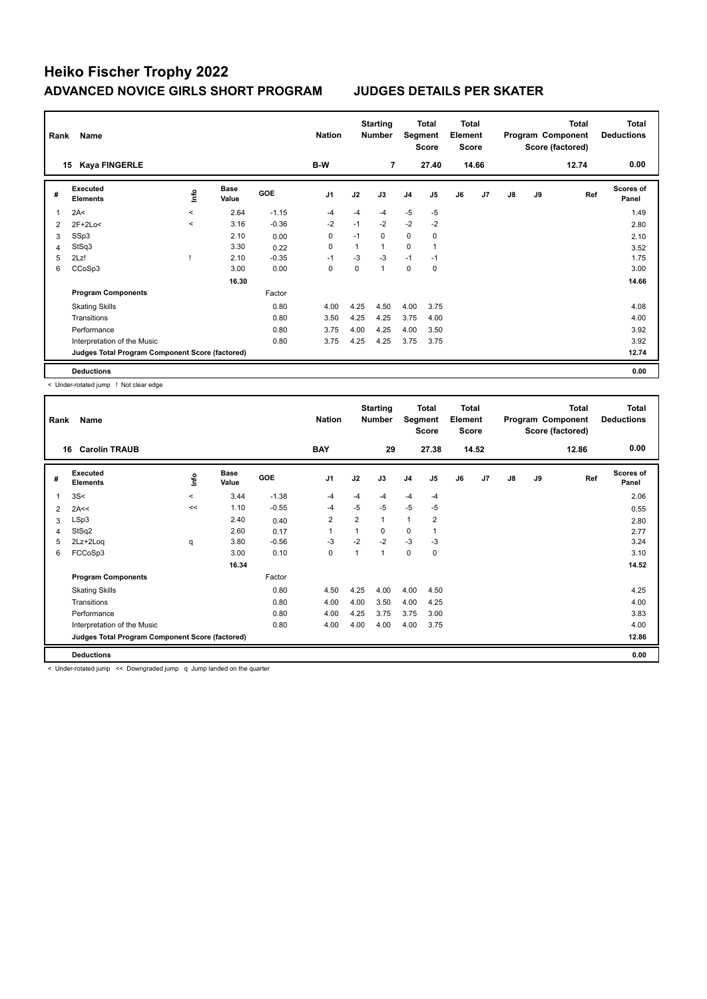| Rank           | Name                                            |         |                      |            | <b>Nation</b>  |      | <b>Starting</b><br><b>Number</b> |                | Total<br>Segment<br><b>Score</b> | Total<br>Element<br><b>Score</b> |                |               |    | <b>Total</b><br>Program Component<br>Score (factored) | <b>Total</b><br><b>Deductions</b> |
|----------------|-------------------------------------------------|---------|----------------------|------------|----------------|------|----------------------------------|----------------|----------------------------------|----------------------------------|----------------|---------------|----|-------------------------------------------------------|-----------------------------------|
|                | <b>Kaya FINGERLE</b><br>15                      |         |                      |            | B-W            |      | $\overline{7}$                   |                | 27.40                            |                                  | 14.66          |               |    | 12.74                                                 | 0.00                              |
| #              | Executed<br><b>Elements</b>                     | Info    | <b>Base</b><br>Value | <b>GOE</b> | J <sub>1</sub> | J2   | J3                               | J <sub>4</sub> | J <sub>5</sub>                   | J6                               | J <sub>7</sub> | $\mathsf{J}8$ | J9 | Ref                                                   | <b>Scores of</b><br>Panel         |
| $\overline{1}$ | 2A<                                             | $\prec$ | 2.64                 | $-1.15$    | $-4$           | $-4$ | $-4$                             | $-5$           | $-5$                             |                                  |                |               |    |                                                       | 1.49                              |
| 2              | $2F+2Lo<$                                       | $\prec$ | 3.16                 | $-0.36$    | $-2$           | $-1$ | $-2$                             | $-2$           | $-2$                             |                                  |                |               |    |                                                       | 2.80                              |
| 3              | SSp3                                            |         | 2.10                 | 0.00       | $\mathbf 0$    | $-1$ | $\Omega$                         | $\mathbf 0$    | $\mathbf 0$                      |                                  |                |               |    |                                                       | 2.10                              |
| 4              | StSq3                                           |         | 3.30                 | 0.22       | 0              | 1    | 1                                | 0              | 1                                |                                  |                |               |    |                                                       | 3.52                              |
| 5              | 2Lz!                                            |         | 2.10                 | $-0.35$    | $-1$           | $-3$ | $-3$                             | $-1$           | $-1$                             |                                  |                |               |    |                                                       | 1.75                              |
| 6              | CCoSp3                                          |         | 3.00                 | 0.00       | 0              | 0    | 1                                | $\mathbf 0$    | 0                                |                                  |                |               |    |                                                       | 3.00                              |
|                |                                                 |         | 16.30                |            |                |      |                                  |                |                                  |                                  |                |               |    |                                                       | 14.66                             |
|                | <b>Program Components</b>                       |         |                      | Factor     |                |      |                                  |                |                                  |                                  |                |               |    |                                                       |                                   |
|                | <b>Skating Skills</b>                           |         |                      | 0.80       | 4.00           | 4.25 | 4.50                             | 4.00           | 3.75                             |                                  |                |               |    |                                                       | 4.08                              |
|                | Transitions                                     |         |                      | 0.80       | 3.50           | 4.25 | 4.25                             | 3.75           | 4.00                             |                                  |                |               |    |                                                       | 4.00                              |
|                | Performance                                     |         |                      | 0.80       | 3.75           | 4.00 | 4.25                             | 4.00           | 3.50                             |                                  |                |               |    |                                                       | 3.92                              |
|                | Interpretation of the Music                     |         |                      | 0.80       | 3.75           | 4.25 | 4.25                             | 3.75           | 3.75                             |                                  |                |               |    |                                                       | 3.92                              |
|                | Judges Total Program Component Score (factored) |         |                      |            |                |      |                                  |                |                                  |                                  |                |               |    |                                                       | 12.74                             |
|                | <b>Deductions</b>                               |         |                      |            |                |      |                                  |                |                                  |                                  |                |               |    |                                                       | 0.00                              |

< Under-rotated jump ! Not clear edge

| Rank | Name                                            |         |                      |         | <b>Nation</b>  |                | <b>Starting</b><br><b>Number</b> | Segment        | Total<br><b>Score</b> | Total<br>Element<br><b>Score</b> |                |    |    | <b>Total</b><br>Program Component<br>Score (factored) | <b>Total</b><br><b>Deductions</b> |
|------|-------------------------------------------------|---------|----------------------|---------|----------------|----------------|----------------------------------|----------------|-----------------------|----------------------------------|----------------|----|----|-------------------------------------------------------|-----------------------------------|
| 16   | <b>Carolin TRAUB</b>                            |         |                      |         | <b>BAY</b>     |                | 29                               |                | 27.38                 |                                  | 14.52          |    |    | 12.86                                                 | 0.00                              |
| #    | Executed<br><b>Elements</b>                     | ١nf٥    | <b>Base</b><br>Value | GOE     | J <sub>1</sub> | J2             | J3                               | J <sub>4</sub> | J <sub>5</sub>        | J6                               | J <sub>7</sub> | J8 | J9 | Ref                                                   | <b>Scores of</b><br>Panel         |
| 1    | 3S<                                             | $\prec$ | 3.44                 | $-1.38$ | $-4$           | -4             | $-4$                             | $-4$           | $-4$                  |                                  |                |    |    |                                                       | 2.06                              |
| 2    | 2A<<                                            | <<      | 1.10                 | $-0.55$ | -4             | $-5$           | $-5$                             | $-5$           | -5                    |                                  |                |    |    |                                                       | 0.55                              |
| 3    | LSp3                                            |         | 2.40                 | 0.40    | $\overline{2}$ | $\overline{2}$ | 1                                | $\mathbf{1}$   | $\overline{2}$        |                                  |                |    |    |                                                       | 2.80                              |
| 4    | StSq2                                           |         | 2.60                 | 0.17    | $\mathbf{1}$   | 1              | 0                                | 0              | 1                     |                                  |                |    |    |                                                       | 2.77                              |
| 5    | 2Lz+2Loq                                        | q       | 3.80                 | $-0.56$ | $-3$           | $-2$           | $-2$                             | $-3$           | -3                    |                                  |                |    |    |                                                       | 3.24                              |
| 6    | FCCoSp3                                         |         | 3.00                 | 0.10    | 0              | 1              | 1                                | $\mathbf 0$    | 0                     |                                  |                |    |    |                                                       | 3.10                              |
|      |                                                 |         | 16.34                |         |                |                |                                  |                |                       |                                  |                |    |    |                                                       | 14.52                             |
|      | <b>Program Components</b>                       |         |                      | Factor  |                |                |                                  |                |                       |                                  |                |    |    |                                                       |                                   |
|      | <b>Skating Skills</b>                           |         |                      | 0.80    | 4.50           | 4.25           | 4.00                             | 4.00           | 4.50                  |                                  |                |    |    |                                                       | 4.25                              |
|      | Transitions                                     |         |                      | 0.80    | 4.00           | 4.00           | 3.50                             | 4.00           | 4.25                  |                                  |                |    |    |                                                       | 4.00                              |
|      | Performance                                     |         |                      | 0.80    | 4.00           | 4.25           | 3.75                             | 3.75           | 3.00                  |                                  |                |    |    |                                                       | 3.83                              |
|      | Interpretation of the Music                     |         |                      | 0.80    | 4.00           | 4.00           | 4.00                             | 4.00           | 3.75                  |                                  |                |    |    |                                                       | 4.00                              |
|      | Judges Total Program Component Score (factored) |         |                      |         |                |                |                                  |                |                       |                                  |                |    |    |                                                       | 12.86                             |
|      | <b>Deductions</b>                               |         |                      |         |                |                |                                  |                |                       |                                  |                |    |    |                                                       | 0.00                              |

< Under-rotated jump << Downgraded jump q Jump landed on the quarter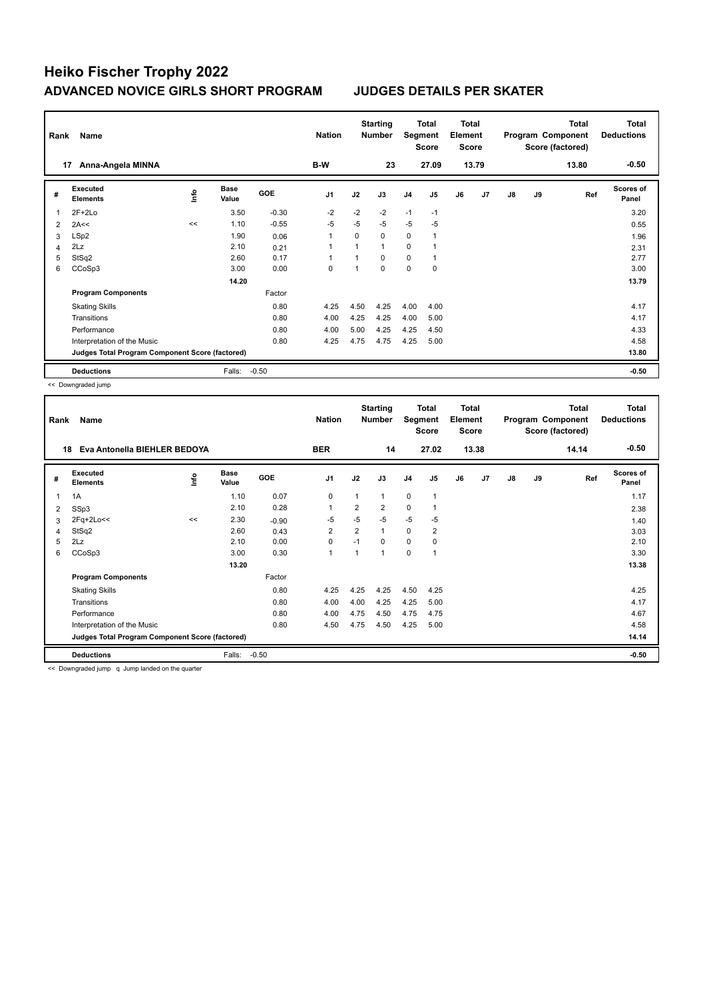| Rank           | Name                                            |             |               |            | <b>Nation</b>  |          | <b>Starting</b><br><b>Number</b> | Segment        | <b>Total</b><br><b>Score</b> | <b>Total</b><br>Element<br><b>Score</b> |                |               |    | <b>Total</b><br>Program Component<br>Score (factored) | <b>Total</b><br><b>Deductions</b> |
|----------------|-------------------------------------------------|-------------|---------------|------------|----------------|----------|----------------------------------|----------------|------------------------------|-----------------------------------------|----------------|---------------|----|-------------------------------------------------------|-----------------------------------|
|                | Anna-Angela MINNA<br>17                         |             |               |            | B-W            |          | 23                               |                | 27.09                        |                                         | 13.79          |               |    | 13.80                                                 | $-0.50$                           |
| #              | Executed<br><b>Elements</b>                     | <u>info</u> | Base<br>Value | <b>GOE</b> | J <sub>1</sub> | J2       | J3                               | J <sub>4</sub> | J <sub>5</sub>               | J6                                      | J <sub>7</sub> | $\mathsf{J}8$ | J9 | Ref                                                   | Scores of<br>Panel                |
| 1              | $2F+2Lo$                                        |             | 3.50          | $-0.30$    | $-2$           | $-2$     | $-2$                             | $-1$           | $-1$                         |                                         |                |               |    |                                                       | 3.20                              |
| 2              | 2A<<                                            | <<          | 1.10          | $-0.55$    | $-5$           | $-5$     | $-5$                             | $-5$           | $-5$                         |                                         |                |               |    |                                                       | 0.55                              |
| 3              | LSp2                                            |             | 1.90          | 0.06       | $\mathbf{1}$   | $\Omega$ | $\Omega$                         | $\mathbf 0$    | 1                            |                                         |                |               |    |                                                       | 1.96                              |
| $\overline{4}$ | 2Lz                                             |             | 2.10          | 0.21       | $\overline{1}$ | 1        | 1                                | 0              | 1                            |                                         |                |               |    |                                                       | 2.31                              |
| 5              | StSq2                                           |             | 2.60          | 0.17       | $\overline{ }$ |          | $\Omega$                         | $\mathbf 0$    | $\mathbf{1}$                 |                                         |                |               |    |                                                       | 2.77                              |
| 6              | CCoSp3                                          |             | 3.00          | 0.00       | 0              |          | 0                                | $\mathbf 0$    | 0                            |                                         |                |               |    |                                                       | 3.00                              |
|                |                                                 |             | 14.20         |            |                |          |                                  |                |                              |                                         |                |               |    |                                                       | 13.79                             |
|                | <b>Program Components</b>                       |             |               | Factor     |                |          |                                  |                |                              |                                         |                |               |    |                                                       |                                   |
|                | <b>Skating Skills</b>                           |             |               | 0.80       | 4.25           | 4.50     | 4.25                             | 4.00           | 4.00                         |                                         |                |               |    |                                                       | 4.17                              |
|                | Transitions                                     |             |               | 0.80       | 4.00           | 4.25     | 4.25                             | 4.00           | 5.00                         |                                         |                |               |    |                                                       | 4.17                              |
|                | Performance                                     |             |               | 0.80       | 4.00           | 5.00     | 4.25                             | 4.25           | 4.50                         |                                         |                |               |    |                                                       | 4.33                              |
|                | Interpretation of the Music                     |             |               | 0.80       | 4.25           | 4.75     | 4.75                             | 4.25           | 5.00                         |                                         |                |               |    |                                                       | 4.58                              |
|                | Judges Total Program Component Score (factored) |             |               |            |                |          |                                  |                |                              |                                         |                |               |    |                                                       | 13.80                             |
|                | <b>Deductions</b>                               |             | Falls:        | $-0.50$    |                |          |                                  |                |                              |                                         |                |               |    |                                                       | $-0.50$                           |

<< Downgraded jump

| Rank           | Name                                            |      | <b>Nation</b>        |         | <b>Starting</b><br><b>Number</b> | Segment        | <b>Total</b><br><b>Score</b> | <b>Total</b><br>Element<br><b>Score</b> |                |    |                | <b>Total</b><br>Program Component<br>Score (factored) | <b>Total</b><br><b>Deductions</b> |       |                           |
|----------------|-------------------------------------------------|------|----------------------|---------|----------------------------------|----------------|------------------------------|-----------------------------------------|----------------|----|----------------|-------------------------------------------------------|-----------------------------------|-------|---------------------------|
|                | Eva Antonella BIEHLER BEDOYA<br>18              |      |                      |         | <b>BER</b>                       |                | 14                           |                                         | 27.02          |    | 13.38          |                                                       |                                   | 14.14 | $-0.50$                   |
| #              | Executed<br><b>Elements</b>                     | lnfo | <b>Base</b><br>Value | GOE     | J <sub>1</sub>                   | J2             | J3                           | J <sub>4</sub>                          | J <sub>5</sub> | J6 | J <sub>7</sub> | J8                                                    | J9                                | Ref   | <b>Scores of</b><br>Panel |
| 1              | 1A                                              |      | 1.10                 | 0.07    | 0                                |                | 1                            | $\mathbf 0$                             | $\mathbf{1}$   |    |                |                                                       |                                   |       | 1.17                      |
| 2              | SSp3                                            |      | 2.10                 | 0.28    | 1                                | $\overline{2}$ | $\overline{2}$               | $\mathbf 0$                             |                |    |                |                                                       |                                   |       | 2.38                      |
| 3              | 2Fq+2Lo<<                                       | <<   | 2.30                 | $-0.90$ | $-5$                             | $-5$           | $-5$                         | $-5$                                    | -5             |    |                |                                                       |                                   |       | 1.40                      |
| $\overline{4}$ | StSq2                                           |      | 2.60                 | 0.43    | $\overline{2}$                   | $\overline{2}$ | $\mathbf{1}$                 | 0                                       | $\overline{2}$ |    |                |                                                       |                                   |       | 3.03                      |
| 5              | 2Lz                                             |      | 2.10                 | 0.00    | $\mathbf 0$                      | $-1$           | $\Omega$                     | 0                                       | 0              |    |                |                                                       |                                   |       | 2.10                      |
| 6              | CCoSp3                                          |      | 3.00                 | 0.30    | $\overline{1}$                   |                | $\mathbf{1}$                 | $\mathbf 0$                             | 1              |    |                |                                                       |                                   |       | 3.30                      |
|                |                                                 |      | 13.20                |         |                                  |                |                              |                                         |                |    |                |                                                       |                                   |       | 13.38                     |
|                | <b>Program Components</b>                       |      |                      | Factor  |                                  |                |                              |                                         |                |    |                |                                                       |                                   |       |                           |
|                | <b>Skating Skills</b>                           |      |                      | 0.80    | 4.25                             | 4.25           | 4.25                         | 4.50                                    | 4.25           |    |                |                                                       |                                   |       | 4.25                      |
|                | Transitions                                     |      |                      | 0.80    | 4.00                             | 4.00           | 4.25                         | 4.25                                    | 5.00           |    |                |                                                       |                                   |       | 4.17                      |
|                | Performance                                     |      |                      | 0.80    | 4.00                             | 4.75           | 4.50                         | 4.75                                    | 4.75           |    |                |                                                       |                                   |       | 4.67                      |
|                | Interpretation of the Music                     |      |                      | 0.80    | 4.50                             | 4.75           | 4.50                         | 4.25                                    | 5.00           |    |                |                                                       |                                   |       | 4.58                      |
|                | Judges Total Program Component Score (factored) |      |                      |         |                                  |                |                              |                                         |                |    |                |                                                       |                                   |       | 14.14                     |
|                | <b>Deductions</b>                               |      | Falls:               | $-0.50$ |                                  |                |                              |                                         |                |    |                |                                                       |                                   |       | $-0.50$                   |

<< Downgraded jump q Jump landed on the quarter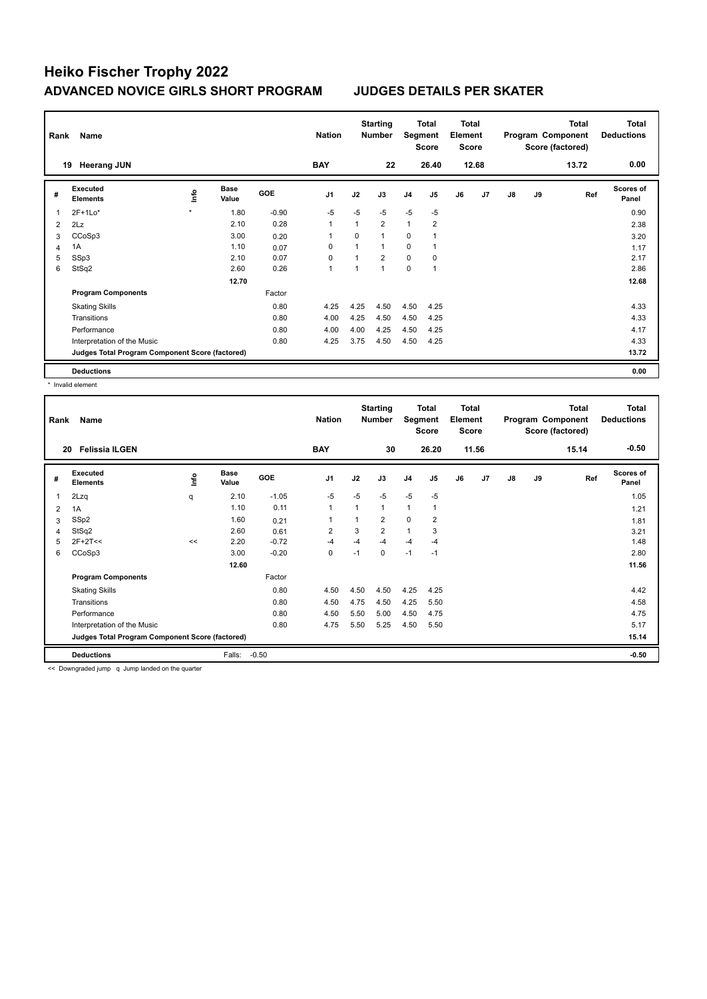| Rank | Name                                            |         |                      |            | <b>Nation</b>  |          | <b>Starting</b><br><b>Number</b> | Segment        | Total<br><b>Score</b> | <b>Total</b><br>Element<br><b>Score</b> |                |    |    | <b>Total</b><br>Program Component<br>Score (factored) | Total<br><b>Deductions</b> |
|------|-------------------------------------------------|---------|----------------------|------------|----------------|----------|----------------------------------|----------------|-----------------------|-----------------------------------------|----------------|----|----|-------------------------------------------------------|----------------------------|
|      | <b>Heerang JUN</b><br>19                        |         |                      |            | <b>BAY</b>     |          | 22                               |                | 26.40                 |                                         | 12.68          |    |    | 13.72                                                 | 0.00                       |
| #    | Executed<br><b>Elements</b>                     | lnfo    | <b>Base</b><br>Value | <b>GOE</b> | J <sub>1</sub> | J2       | J3                               | J <sub>4</sub> | J <sub>5</sub>        | J6                                      | J <sub>7</sub> | J8 | J9 | Ref                                                   | <b>Scores of</b><br>Panel  |
| 1    | $2F+1Lo*$                                       | $\star$ | 1.80                 | $-0.90$    | $-5$           | $-5$     | $-5$                             | $-5$           | $-5$                  |                                         |                |    |    |                                                       | 0.90                       |
| 2    | 2Lz                                             |         | 2.10                 | 0.28       | $\overline{1}$ | 1        | $\overline{2}$                   | $\mathbf{1}$   | $\overline{2}$        |                                         |                |    |    |                                                       | 2.38                       |
| 3    | CCoSp3                                          |         | 3.00                 | 0.20       | 1              | $\Omega$ | $\mathbf{1}$                     | $\mathbf 0$    |                       |                                         |                |    |    |                                                       | 3.20                       |
| 4    | 1A                                              |         | 1.10                 | 0.07       | 0              |          | 1                                | 0              |                       |                                         |                |    |    |                                                       | 1.17                       |
| 5    | SSp3                                            |         | 2.10                 | 0.07       | 0              |          | $\overline{2}$                   | $\mathbf 0$    | 0                     |                                         |                |    |    |                                                       | 2.17                       |
| 6    | StSq2                                           |         | 2.60                 | 0.26       | $\overline{1}$ |          | $\mathbf{1}$                     | $\mathbf 0$    | $\overline{1}$        |                                         |                |    |    |                                                       | 2.86                       |
|      |                                                 |         | 12.70                |            |                |          |                                  |                |                       |                                         |                |    |    |                                                       | 12.68                      |
|      | <b>Program Components</b>                       |         |                      | Factor     |                |          |                                  |                |                       |                                         |                |    |    |                                                       |                            |
|      | <b>Skating Skills</b>                           |         |                      | 0.80       | 4.25           | 4.25     | 4.50                             | 4.50           | 4.25                  |                                         |                |    |    |                                                       | 4.33                       |
|      | Transitions                                     |         |                      | 0.80       | 4.00           | 4.25     | 4.50                             | 4.50           | 4.25                  |                                         |                |    |    |                                                       | 4.33                       |
|      | Performance                                     |         |                      | 0.80       | 4.00           | 4.00     | 4.25                             | 4.50           | 4.25                  |                                         |                |    |    |                                                       | 4.17                       |
|      | Interpretation of the Music                     |         |                      | 0.80       | 4.25           | 3.75     | 4.50                             | 4.50           | 4.25                  |                                         |                |    |    |                                                       | 4.33                       |
|      | Judges Total Program Component Score (factored) |         |                      |            |                |          |                                  |                |                       |                                         |                |    |    |                                                       | 13.72                      |
|      | <b>Deductions</b>                               |         |                      |            |                |          |                                  |                |                       |                                         |                |    |    |                                                       | 0.00                       |

\* Invalid element

| Rank | Name                                            |      |                      |            | <b>Nation</b>  |              | <b>Starting</b><br><b>Number</b> | Segment        | Total<br><b>Score</b> | Total<br>Element<br><b>Score</b> |       |    |    | <b>Total</b><br>Program Component<br>Score (factored) | <b>Total</b><br><b>Deductions</b> |
|------|-------------------------------------------------|------|----------------------|------------|----------------|--------------|----------------------------------|----------------|-----------------------|----------------------------------|-------|----|----|-------------------------------------------------------|-----------------------------------|
| 20   | <b>Felissia ILGEN</b>                           |      |                      |            | <b>BAY</b>     |              | 30                               |                | 26.20                 |                                  | 11.56 |    |    | 15.14                                                 | $-0.50$                           |
| #    | Executed<br><b>Elements</b>                     | Info | <b>Base</b><br>Value | <b>GOE</b> | J <sub>1</sub> | J2           | J3                               | J <sub>4</sub> | J <sub>5</sub>        | J6                               | J7    | J8 | J9 | Ref                                                   | <b>Scores of</b><br>Panel         |
| 1    | 2Lzq                                            | q    | 2.10                 | $-1.05$    | $-5$           | $-5$         | $-5$                             | $-5$           | $-5$                  |                                  |       |    |    |                                                       | 1.05                              |
| 2    | 1A                                              |      | 1.10                 | 0.11       | $\mathbf{1}$   | $\mathbf{1}$ | $\mathbf{1}$                     | $\mathbf{1}$   |                       |                                  |       |    |    |                                                       | 1.21                              |
| 3    | SSp2                                            |      | 1.60                 | 0.21       |                | 1            | $\overline{2}$                   | $\mathbf 0$    | $\overline{2}$        |                                  |       |    |    |                                                       | 1.81                              |
| 4    | StSq2                                           |      | 2.60                 | 0.61       | $\overline{2}$ | 3            | $\overline{2}$                   | $\mathbf{1}$   | 3                     |                                  |       |    |    |                                                       | 3.21                              |
| 5    | $2F+2T<<$                                       | <<   | 2.20                 | $-0.72$    | $-4$           | $-4$         | $-4$                             | $-4$           | $-4$                  |                                  |       |    |    |                                                       | 1.48                              |
| 6    | CCoSp3                                          |      | 3.00                 | $-0.20$    | 0              | $-1$         | $\Omega$                         | $-1$           | $-1$                  |                                  |       |    |    |                                                       | 2.80                              |
|      |                                                 |      | 12.60                |            |                |              |                                  |                |                       |                                  |       |    |    |                                                       | 11.56                             |
|      | <b>Program Components</b>                       |      |                      | Factor     |                |              |                                  |                |                       |                                  |       |    |    |                                                       |                                   |
|      | <b>Skating Skills</b>                           |      |                      | 0.80       | 4.50           | 4.50         | 4.50                             | 4.25           | 4.25                  |                                  |       |    |    |                                                       | 4.42                              |
|      | Transitions                                     |      |                      | 0.80       | 4.50           | 4.75         | 4.50                             | 4.25           | 5.50                  |                                  |       |    |    |                                                       | 4.58                              |
|      | Performance                                     |      |                      | 0.80       | 4.50           | 5.50         | 5.00                             | 4.50           | 4.75                  |                                  |       |    |    |                                                       | 4.75                              |
|      | Interpretation of the Music                     |      |                      | 0.80       | 4.75           | 5.50         | 5.25                             | 4.50           | 5.50                  |                                  |       |    |    |                                                       | 5.17                              |
|      | Judges Total Program Component Score (factored) |      |                      |            |                |              |                                  |                |                       |                                  |       |    |    |                                                       | 15.14                             |
|      | <b>Deductions</b>                               |      | Falls:               | $-0.50$    |                |              |                                  |                |                       |                                  |       |    |    |                                                       | $-0.50$                           |

<< Downgraded jump q Jump landed on the quarter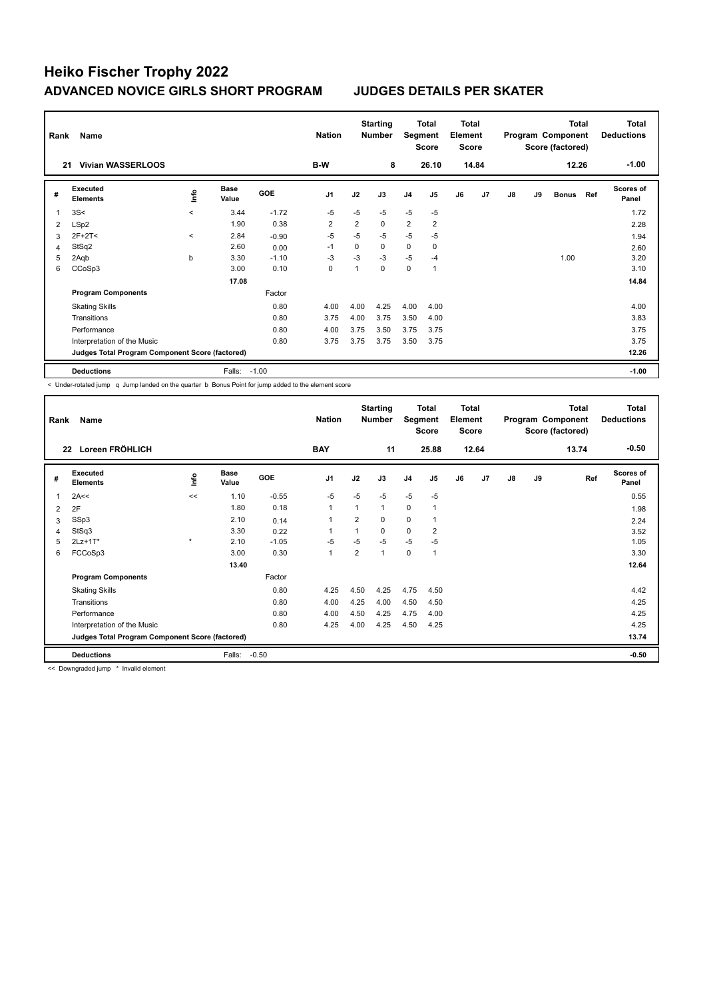| Rank | Name                                            |          | <b>Nation</b>        |         | <b>Starting</b><br><b>Number</b> | Segment        | <b>Total</b><br><b>Score</b> | <b>Total</b><br>Element<br><b>Score</b> |                |    |       | <b>Total</b><br>Program Component<br>Score (factored) |    | <b>Total</b><br><b>Deductions</b> |     |                           |
|------|-------------------------------------------------|----------|----------------------|---------|----------------------------------|----------------|------------------------------|-----------------------------------------|----------------|----|-------|-------------------------------------------------------|----|-----------------------------------|-----|---------------------------|
| 21   | <b>Vivian WASSERLOOS</b>                        |          |                      |         | B-W                              |                | 8                            |                                         | 26.10          |    | 14.84 |                                                       |    | 12.26                             |     | $-1.00$                   |
| #    | Executed<br><b>Elements</b>                     | ١nto     | <b>Base</b><br>Value | GOE     | J <sub>1</sub>                   | J2             | J3                           | J <sub>4</sub>                          | J5             | J6 | J7    | J8                                                    | J9 | <b>Bonus</b>                      | Ref | <b>Scores of</b><br>Panel |
| 1    | 3S<                                             | $\hat{}$ | 3.44                 | $-1.72$ | $-5$                             | $-5$           | $-5$                         | $-5$                                    | $-5$           |    |       |                                                       |    |                                   |     | 1.72                      |
| 2    | LSp2                                            |          | 1.90                 | 0.38    | $\overline{2}$                   | $\overline{2}$ | $\Omega$                     | 2                                       | $\overline{2}$ |    |       |                                                       |    |                                   |     | 2.28                      |
| 3    | $2F+2T<$                                        | $\prec$  | 2.84                 | $-0.90$ | $-5$                             | $-5$           | $-5$                         | $-5$                                    | $-5$           |    |       |                                                       |    |                                   |     | 1.94                      |
| 4    | StSq2                                           |          | 2.60                 | 0.00    | $-1$                             | $\Omega$       | 0                            | 0                                       | 0              |    |       |                                                       |    |                                   |     | 2.60                      |
| 5    | 2Aqb                                            | b        | 3.30                 | $-1.10$ | $-3$                             | $-3$           | $-3$                         | $-5$                                    | $-4$           |    |       |                                                       |    | 1.00                              |     | 3.20                      |
| 6    | CCoSp3                                          |          | 3.00                 | 0.10    | 0                                |                | 0                            | $\pmb{0}$                               | 1              |    |       |                                                       |    |                                   |     | 3.10                      |
|      |                                                 |          | 17.08                |         |                                  |                |                              |                                         |                |    |       |                                                       |    |                                   |     | 14.84                     |
|      | <b>Program Components</b>                       |          |                      | Factor  |                                  |                |                              |                                         |                |    |       |                                                       |    |                                   |     |                           |
|      | <b>Skating Skills</b>                           |          |                      | 0.80    | 4.00                             | 4.00           | 4.25                         | 4.00                                    | 4.00           |    |       |                                                       |    |                                   |     | 4.00                      |
|      | Transitions                                     |          |                      | 0.80    | 3.75                             | 4.00           | 3.75                         | 3.50                                    | 4.00           |    |       |                                                       |    |                                   |     | 3.83                      |
|      | Performance                                     |          |                      | 0.80    | 4.00                             | 3.75           | 3.50                         | 3.75                                    | 3.75           |    |       |                                                       |    |                                   |     | 3.75                      |
|      | Interpretation of the Music                     |          |                      | 0.80    | 3.75                             | 3.75           | 3.75                         | 3.50                                    | 3.75           |    |       |                                                       |    |                                   |     | 3.75                      |
|      | Judges Total Program Component Score (factored) |          |                      |         |                                  |                |                              |                                         |                |    |       |                                                       |    |                                   |     | 12.26                     |
|      | <b>Deductions</b>                               |          | Falls:               | $-1.00$ |                                  |                |                              |                                         |                |    |       |                                                       |    |                                   |     | $-1.00$                   |

< Under-rotated jump q Jump landed on the quarter b Bonus Point for jump added to the element score

| Rank | Name                                            |              |               |         | <b>Nation</b>  |                | <b>Starting</b><br><b>Number</b> | Segment        | Total<br><b>Score</b> | <b>Total</b><br>Element<br>Score |                |    |    | <b>Total</b><br>Program Component<br>Score (factored) | <b>Total</b><br><b>Deductions</b> |
|------|-------------------------------------------------|--------------|---------------|---------|----------------|----------------|----------------------------------|----------------|-----------------------|----------------------------------|----------------|----|----|-------------------------------------------------------|-----------------------------------|
| 22   | Loreen FRÖHLICH                                 |              |               |         | <b>BAY</b>     |                | 11                               |                | 25.88                 |                                  | 12.64          |    |    | 13.74                                                 | $-0.50$                           |
| #    | Executed<br><b>Elements</b>                     | <u>lnfo</u>  | Base<br>Value | GOE     | J <sub>1</sub> | J2             | J3                               | J <sub>4</sub> | J <sub>5</sub>        | J6                               | J <sub>7</sub> | J8 | J9 | Ref                                                   | <b>Scores of</b><br>Panel         |
| 1    | 2A<<                                            | <<           | 1.10          | $-0.55$ | $-5$           | $-5$           | $-5$                             | $-5$           | $-5$                  |                                  |                |    |    |                                                       | 0.55                              |
| 2    | 2F                                              |              | 1.80          | 0.18    | $\overline{1}$ | 1              | 1                                | 0              | $\mathbf{1}$          |                                  |                |    |    |                                                       | 1.98                              |
| 3    | SSp3                                            |              | 2.10          | 0.14    |                | $\overline{2}$ | $\Omega$                         | $\mathbf 0$    | 1                     |                                  |                |    |    |                                                       | 2.24                              |
| 4    | StSq3                                           |              | 3.30          | 0.22    | 1              | 1              | 0                                | $\mathbf 0$    | $\overline{2}$        |                                  |                |    |    |                                                       | 3.52                              |
| 5    | $2Lz+1T*$                                       | $\pmb{\ast}$ | 2.10          | $-1.05$ | $-5$           | $-5$           | $-5$                             | $-5$           | -5                    |                                  |                |    |    |                                                       | 1.05                              |
| 6    | FCCoSp3                                         |              | 3.00          | 0.30    | $\overline{1}$ | $\overline{2}$ | 1                                | $\mathbf 0$    | $\mathbf{1}$          |                                  |                |    |    |                                                       | 3.30                              |
|      |                                                 |              | 13.40         |         |                |                |                                  |                |                       |                                  |                |    |    |                                                       | 12.64                             |
|      | <b>Program Components</b>                       |              |               | Factor  |                |                |                                  |                |                       |                                  |                |    |    |                                                       |                                   |
|      | <b>Skating Skills</b>                           |              |               | 0.80    | 4.25           | 4.50           | 4.25                             | 4.75           | 4.50                  |                                  |                |    |    |                                                       | 4.42                              |
|      | Transitions                                     |              |               | 0.80    | 4.00           | 4.25           | 4.00                             | 4.50           | 4.50                  |                                  |                |    |    |                                                       | 4.25                              |
|      | Performance                                     |              |               | 0.80    | 4.00           | 4.50           | 4.25                             | 4.75           | 4.00                  |                                  |                |    |    |                                                       | 4.25                              |
|      | Interpretation of the Music                     |              |               | 0.80    | 4.25           | 4.00           | 4.25                             | 4.50           | 4.25                  |                                  |                |    |    |                                                       | 4.25                              |
|      | Judges Total Program Component Score (factored) |              |               |         |                |                |                                  |                |                       |                                  |                |    |    |                                                       | 13.74                             |
|      | <b>Deductions</b>                               |              | Falls:        | $-0.50$ |                |                |                                  |                |                       |                                  |                |    |    |                                                       | $-0.50$                           |

<< Downgraded jump \* Invalid element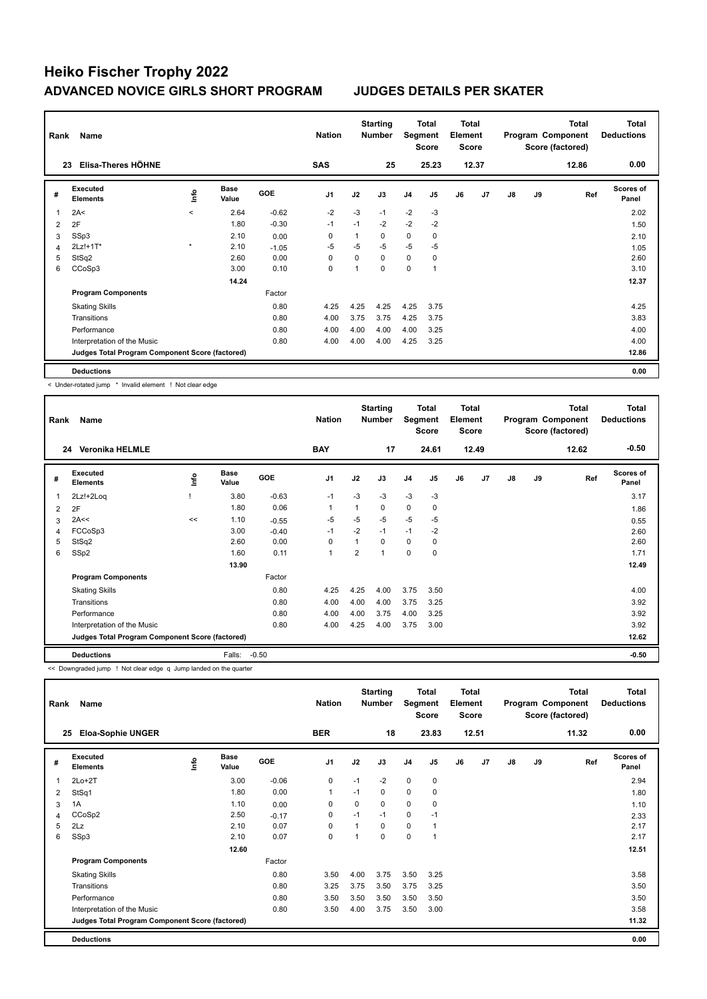| Rank | Name                                            |         |                      |         | <b>Nation</b>  |          | <b>Starting</b><br><b>Number</b> | Segment        | Total<br><b>Score</b> | Total<br>Element<br><b>Score</b> |                |    |    | <b>Total</b><br>Program Component<br>Score (factored) | <b>Total</b><br><b>Deductions</b> |
|------|-------------------------------------------------|---------|----------------------|---------|----------------|----------|----------------------------------|----------------|-----------------------|----------------------------------|----------------|----|----|-------------------------------------------------------|-----------------------------------|
|      | Elisa-Theres HÖHNE<br>23                        |         |                      |         | <b>SAS</b>     |          | 25                               |                | 25.23                 |                                  | 12.37          |    |    | 12.86                                                 | 0.00                              |
| #    | Executed<br><b>Elements</b>                     | lnfo    | <b>Base</b><br>Value | GOE     | J <sub>1</sub> | J2       | J3                               | J <sub>4</sub> | J <sub>5</sub>        | J6                               | J <sub>7</sub> | J8 | J9 | Ref                                                   | <b>Scores of</b><br>Panel         |
| 1    | 2A<                                             | $\prec$ | 2.64                 | $-0.62$ | $-2$           | $-3$     | $-1$                             | $-2$           | $-3$                  |                                  |                |    |    |                                                       | 2.02                              |
| 2    | 2F                                              |         | 1.80                 | $-0.30$ | $-1$           | $-1$     | $-2$                             | $-2$           | $-2$                  |                                  |                |    |    |                                                       | 1.50                              |
| 3    | SSp3                                            |         | 2.10                 | 0.00    | 0              |          | $\Omega$                         | $\mathbf 0$    | 0                     |                                  |                |    |    |                                                       | 2.10                              |
| 4    | 2Lz!+1T*                                        | $\star$ | 2.10                 | $-1.05$ | -5             | $-5$     | $-5$                             | $-5$           | $-5$                  |                                  |                |    |    |                                                       | 1.05                              |
| 5    | StSq2                                           |         | 2.60                 | 0.00    | $\Omega$       | $\Omega$ | $\Omega$                         | 0              | 0                     |                                  |                |    |    |                                                       | 2.60                              |
| 6    | CCoSp3                                          |         | 3.00                 | 0.10    | 0              |          | $\Omega$                         | 0              | 1                     |                                  |                |    |    |                                                       | 3.10                              |
|      |                                                 |         | 14.24                |         |                |          |                                  |                |                       |                                  |                |    |    |                                                       | 12.37                             |
|      | <b>Program Components</b>                       |         |                      | Factor  |                |          |                                  |                |                       |                                  |                |    |    |                                                       |                                   |
|      | <b>Skating Skills</b>                           |         |                      | 0.80    | 4.25           | 4.25     | 4.25                             | 4.25           | 3.75                  |                                  |                |    |    |                                                       | 4.25                              |
|      | Transitions                                     |         |                      | 0.80    | 4.00           | 3.75     | 3.75                             | 4.25           | 3.75                  |                                  |                |    |    |                                                       | 3.83                              |
|      | Performance                                     |         |                      | 0.80    | 4.00           | 4.00     | 4.00                             | 4.00           | 3.25                  |                                  |                |    |    |                                                       | 4.00                              |
|      | Interpretation of the Music                     |         |                      | 0.80    | 4.00           | 4.00     | 4.00                             | 4.25           | 3.25                  |                                  |                |    |    |                                                       | 4.00                              |
|      | Judges Total Program Component Score (factored) |         |                      |         |                |          |                                  |                |                       |                                  |                |    |    |                                                       | 12.86                             |
|      | <b>Deductions</b>                               |         |                      |         |                |          |                                  |                |                       |                                  |                |    |    |                                                       | 0.00                              |

< Under-rotated jump \* Invalid element ! Not clear edge

| Rank | Name                                            |      |                      |         | <b>Nation</b>  |                | <b>Starting</b><br><b>Number</b> | Segment        | <b>Total</b><br><b>Score</b> | <b>Total</b><br>Element<br><b>Score</b> |       |               |    | <b>Total</b><br>Program Component<br>Score (factored) | Total<br><b>Deductions</b> |
|------|-------------------------------------------------|------|----------------------|---------|----------------|----------------|----------------------------------|----------------|------------------------------|-----------------------------------------|-------|---------------|----|-------------------------------------------------------|----------------------------|
|      | <b>Veronika HELMLE</b><br>24                    |      |                      |         | <b>BAY</b>     |                | 17                               |                | 24.61                        |                                         | 12.49 |               |    | 12.62                                                 | $-0.50$                    |
| #    | Executed<br><b>Elements</b>                     | lnfo | <b>Base</b><br>Value | GOE     | J <sub>1</sub> | J2             | J3                               | J <sub>4</sub> | J <sub>5</sub>               | J6                                      | J7    | $\mathsf{J}8$ | J9 | Ref                                                   | Scores of<br>Panel         |
| 1    | 2Lz!+2Loq                                       |      | 3.80                 | $-0.63$ | $-1$           | $-3$           | $-3$                             | $-3$           | $-3$                         |                                         |       |               |    |                                                       | 3.17                       |
| 2    | 2F                                              |      | 1.80                 | 0.06    | 1              | 1              | 0                                | $\mathbf 0$    | 0                            |                                         |       |               |    |                                                       | 1.86                       |
| 3    | 2A<<                                            | <<   | 1.10                 | $-0.55$ | $-5$           | $-5$           | $-5$                             | $-5$           | $-5$                         |                                         |       |               |    |                                                       | 0.55                       |
| 4    | FCCoSp3                                         |      | 3.00                 | $-0.40$ | $-1$           | $-2$           | $-1$                             | $-1$           | $-2$                         |                                         |       |               |    |                                                       | 2.60                       |
| 5    | StSq2                                           |      | 2.60                 | 0.00    | 0              | 1              | 0                                | $\mathbf 0$    | 0                            |                                         |       |               |    |                                                       | 2.60                       |
| 6    | SSp2                                            |      | 1.60                 | 0.11    | 1              | $\overline{2}$ | и                                | 0              | 0                            |                                         |       |               |    |                                                       | 1.71                       |
|      |                                                 |      | 13.90                |         |                |                |                                  |                |                              |                                         |       |               |    |                                                       | 12.49                      |
|      | <b>Program Components</b>                       |      |                      | Factor  |                |                |                                  |                |                              |                                         |       |               |    |                                                       |                            |
|      | <b>Skating Skills</b>                           |      |                      | 0.80    | 4.25           | 4.25           | 4.00                             | 3.75           | 3.50                         |                                         |       |               |    |                                                       | 4.00                       |
|      | Transitions                                     |      |                      | 0.80    | 4.00           | 4.00           | 4.00                             | 3.75           | 3.25                         |                                         |       |               |    |                                                       | 3.92                       |
|      | Performance                                     |      |                      | 0.80    | 4.00           | 4.00           | 3.75                             | 4.00           | 3.25                         |                                         |       |               |    |                                                       | 3.92                       |
|      | Interpretation of the Music                     |      |                      | 0.80    | 4.00           | 4.25           | 4.00                             | 3.75           | 3.00                         |                                         |       |               |    |                                                       | 3.92                       |
|      | Judges Total Program Component Score (factored) |      |                      |         |                |                |                                  |                |                              |                                         |       |               |    |                                                       | 12.62                      |
|      | <b>Deductions</b>                               |      | Falls:               | $-0.50$ |                |                |                                  |                |                              |                                         |       |               |    |                                                       | $-0.50$                    |

<< Downgraded jump ! Not clear edge q Jump landed on the quarter

| Rank | Name                                            |      |                      |            | <b>Nation</b>  |      | <b>Starting</b><br><b>Number</b> | Segment     | Total<br><b>Score</b> | <b>Total</b><br>Element<br><b>Score</b> |                |    |    | <b>Total</b><br>Program Component<br>Score (factored) | <b>Total</b><br><b>Deductions</b> |
|------|-------------------------------------------------|------|----------------------|------------|----------------|------|----------------------------------|-------------|-----------------------|-----------------------------------------|----------------|----|----|-------------------------------------------------------|-----------------------------------|
|      | <b>Eloa-Sophie UNGER</b><br>25                  |      |                      |            | <b>BER</b>     |      | 18                               |             | 23.83                 |                                         | 12.51          |    |    | 11.32                                                 | 0.00                              |
| #    | Executed<br><b>Elements</b>                     | ١nfo | <b>Base</b><br>Value | <b>GOE</b> | J <sub>1</sub> | J2   | J3                               | J4          | J <sub>5</sub>        | J6                                      | J <sub>7</sub> | J8 | J9 | Ref                                                   | Scores of<br>Panel                |
| 1    | $2Lo+2T$                                        |      | 3.00                 | $-0.06$    | 0              | $-1$ | $-2$                             | $\mathbf 0$ | $\mathbf 0$           |                                         |                |    |    |                                                       | 2.94                              |
| 2    | StSq1                                           |      | 1.80                 | 0.00       | $\mathbf{1}$   | $-1$ | 0                                | $\mathbf 0$ | 0                     |                                         |                |    |    |                                                       | 1.80                              |
| 3    | 1A                                              |      | 1.10                 | 0.00       | 0              | 0    | 0                                | 0           | 0                     |                                         |                |    |    |                                                       | 1.10                              |
| 4    | CCoSp2                                          |      | 2.50                 | $-0.17$    | 0              | $-1$ | $-1$                             | 0           | $-1$                  |                                         |                |    |    |                                                       | 2.33                              |
| 5    | 2Lz                                             |      | 2.10                 | 0.07       | $\mathbf 0$    |      | 0                                | $\mathbf 0$ |                       |                                         |                |    |    |                                                       | 2.17                              |
| 6    | SSp3                                            |      | 2.10                 | 0.07       | $\mathbf 0$    |      | 0                                | $\mathbf 0$ |                       |                                         |                |    |    |                                                       | 2.17                              |
|      |                                                 |      | 12.60                |            |                |      |                                  |             |                       |                                         |                |    |    |                                                       | 12.51                             |
|      | <b>Program Components</b>                       |      |                      | Factor     |                |      |                                  |             |                       |                                         |                |    |    |                                                       |                                   |
|      | <b>Skating Skills</b>                           |      |                      | 0.80       | 3.50           | 4.00 | 3.75                             | 3.50        | 3.25                  |                                         |                |    |    |                                                       | 3.58                              |
|      | Transitions                                     |      |                      | 0.80       | 3.25           | 3.75 | 3.50                             | 3.75        | 3.25                  |                                         |                |    |    |                                                       | 3.50                              |
|      | Performance                                     |      |                      | 0.80       | 3.50           | 3.50 | 3.50                             | 3.50        | 3.50                  |                                         |                |    |    |                                                       | 3.50                              |
|      | Interpretation of the Music                     |      |                      | 0.80       | 3.50           | 4.00 | 3.75                             | 3.50        | 3.00                  |                                         |                |    |    |                                                       | 3.58                              |
|      | Judges Total Program Component Score (factored) |      |                      |            |                |      |                                  |             |                       |                                         |                |    |    |                                                       | 11.32                             |
|      | <b>Deductions</b>                               |      |                      |            |                |      |                                  |             |                       |                                         |                |    |    |                                                       | 0.00                              |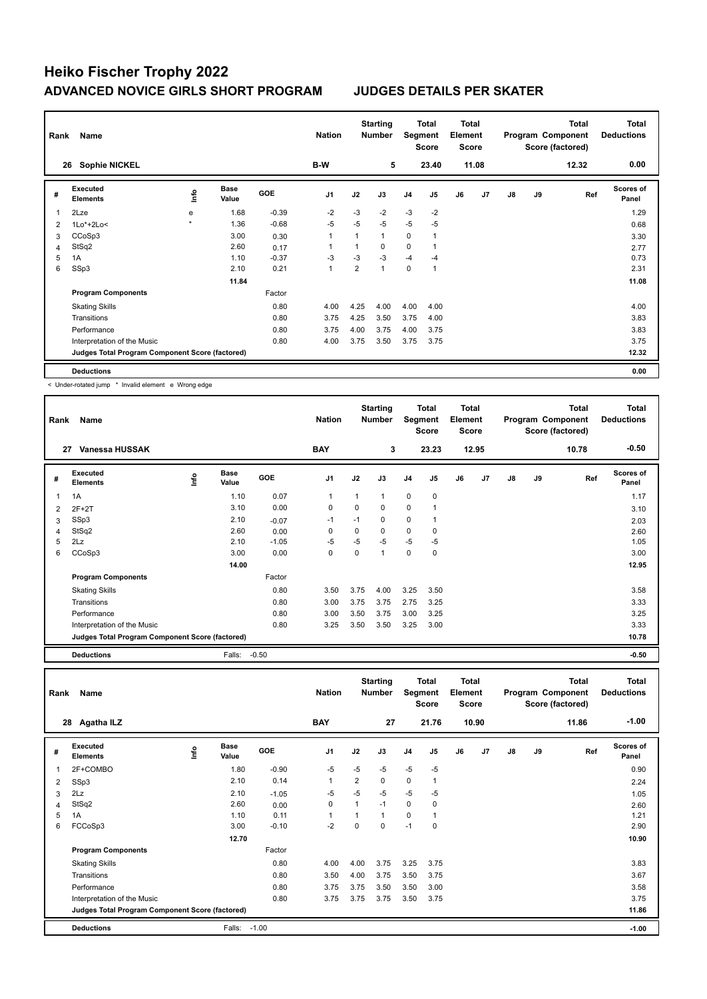| Rank | Name                                            |                     |                      |         | <b>Nation</b>  |                | <b>Starting</b><br><b>Number</b> | Segment        | Total<br><b>Score</b> | Total<br>Element<br><b>Score</b> |                |    |    | <b>Total</b><br>Program Component<br>Score (factored) | <b>Total</b><br><b>Deductions</b> |
|------|-------------------------------------------------|---------------------|----------------------|---------|----------------|----------------|----------------------------------|----------------|-----------------------|----------------------------------|----------------|----|----|-------------------------------------------------------|-----------------------------------|
|      | <b>Sophie NICKEL</b><br>26                      |                     |                      |         | B-W            |                | 5                                |                | 23.40                 |                                  | 11.08          |    |    | 12.32                                                 | 0.00                              |
| #    | Executed<br><b>Elements</b>                     | lnfo                | <b>Base</b><br>Value | GOE     | J <sub>1</sub> | J2             | J3                               | J <sub>4</sub> | J <sub>5</sub>        | J6                               | J <sub>7</sub> | J8 | J9 | Ref                                                   | Scores of<br>Panel                |
| 1    | 2Lze                                            | e                   | 1.68                 | $-0.39$ | $-2$           | $-3$           | $-2$                             | $-3$           | $-2$                  |                                  |                |    |    |                                                       | 1.29                              |
| 2    | $1Lo*+2Lo<$                                     | $\boldsymbol{\ast}$ | 1.36                 | $-0.68$ | $-5$           | $-5$           | $-5$                             | $-5$           | $-5$                  |                                  |                |    |    |                                                       | 0.68                              |
| 3    | CCoSp3                                          |                     | 3.00                 | 0.30    | 1              |                | $\mathbf{1}$                     | $\mathbf 0$    | 1                     |                                  |                |    |    |                                                       | 3.30                              |
| 4    | StSq2                                           |                     | 2.60                 | 0.17    | 1              |                | $\Omega$                         | $\mathbf 0$    |                       |                                  |                |    |    |                                                       | 2.77                              |
| 5    | 1A                                              |                     | 1.10                 | $-0.37$ | -3             | $-3$           | $-3$                             | $-4$           | $-4$                  |                                  |                |    |    |                                                       | 0.73                              |
| 6    | SSp3                                            |                     | 2.10                 | 0.21    | $\overline{1}$ | $\overline{2}$ | $\mathbf{1}$                     | $\mathbf 0$    | $\overline{1}$        |                                  |                |    |    |                                                       | 2.31                              |
|      |                                                 |                     | 11.84                |         |                |                |                                  |                |                       |                                  |                |    |    |                                                       | 11.08                             |
|      | <b>Program Components</b>                       |                     |                      | Factor  |                |                |                                  |                |                       |                                  |                |    |    |                                                       |                                   |
|      | <b>Skating Skills</b>                           |                     |                      | 0.80    | 4.00           | 4.25           | 4.00                             | 4.00           | 4.00                  |                                  |                |    |    |                                                       | 4.00                              |
|      | Transitions                                     |                     |                      | 0.80    | 3.75           | 4.25           | 3.50                             | 3.75           | 4.00                  |                                  |                |    |    |                                                       | 3.83                              |
|      | Performance                                     |                     |                      | 0.80    | 3.75           | 4.00           | 3.75                             | 4.00           | 3.75                  |                                  |                |    |    |                                                       | 3.83                              |
|      | Interpretation of the Music                     |                     |                      | 0.80    | 4.00           | 3.75           | 3.50                             | 3.75           | 3.75                  |                                  |                |    |    |                                                       | 3.75                              |
|      | Judges Total Program Component Score (factored) |                     |                      |         |                |                |                                  |                |                       |                                  |                |    |    |                                                       | 12.32                             |
|      | <b>Deductions</b>                               |                     |                      |         |                |                |                                  |                |                       |                                  |                |    |    |                                                       | 0.00                              |

< Under-rotated jump \* Invalid element e Wrong edge

| Rank | Name                                            |      |                      |            | <b>Nation</b>  |      | <b>Starting</b><br><b>Number</b> | Segment        | <b>Total</b><br><b>Score</b> | Total<br>Element<br><b>Score</b> |                |    |    | Total<br>Program Component<br>Score (factored) | <b>Total</b><br><b>Deductions</b> |
|------|-------------------------------------------------|------|----------------------|------------|----------------|------|----------------------------------|----------------|------------------------------|----------------------------------|----------------|----|----|------------------------------------------------|-----------------------------------|
| 27   | Vanessa HUSSAK                                  |      |                      |            | <b>BAY</b>     |      | 3                                |                | 23.23                        |                                  | 12.95          |    |    | 10.78                                          | $-0.50$                           |
| #    | Executed<br><b>Elements</b>                     | ١nf٥ | <b>Base</b><br>Value | <b>GOE</b> | J <sub>1</sub> | J2   | J3                               | J <sub>4</sub> | J5                           | J6                               | J <sub>7</sub> | J8 | J9 | Ref                                            | <b>Scores of</b><br>Panel         |
| 1    | 1A                                              |      | 1.10                 | 0.07       |                | 1    | 1                                | $\mathbf 0$    | 0                            |                                  |                |    |    |                                                | 1.17                              |
| 2    | $2F+2T$                                         |      | 3.10                 | 0.00       | 0              | 0    | 0                                | 0              |                              |                                  |                |    |    |                                                | 3.10                              |
| 3    | SSp3                                            |      | 2.10                 | $-0.07$    | $-1$           | $-1$ | $\Omega$                         | $\mathbf 0$    |                              |                                  |                |    |    |                                                | 2.03                              |
| 4    | StSq2                                           |      | 2.60                 | 0.00       | 0              | 0    | $\Omega$                         | 0              | 0                            |                                  |                |    |    |                                                | 2.60                              |
| 5    | 2Lz                                             |      | 2.10                 | $-1.05$    | $-5$           | $-5$ | $-5$                             | $-5$           | $-5$                         |                                  |                |    |    |                                                | 1.05                              |
| 6    | CCoSp3                                          |      | 3.00                 | 0.00       | 0              | 0    | 1                                | 0              | 0                            |                                  |                |    |    |                                                | 3.00                              |
|      |                                                 |      | 14.00                |            |                |      |                                  |                |                              |                                  |                |    |    |                                                | 12.95                             |
|      | <b>Program Components</b>                       |      |                      | Factor     |                |      |                                  |                |                              |                                  |                |    |    |                                                |                                   |
|      | <b>Skating Skills</b>                           |      |                      | 0.80       | 3.50           | 3.75 | 4.00                             | 3.25           | 3.50                         |                                  |                |    |    |                                                | 3.58                              |
|      | Transitions                                     |      |                      | 0.80       | 3.00           | 3.75 | 3.75                             | 2.75           | 3.25                         |                                  |                |    |    |                                                | 3.33                              |
|      | Performance                                     |      |                      | 0.80       | 3.00           | 3.50 | 3.75                             | 3.00           | 3.25                         |                                  |                |    |    |                                                | 3.25                              |
|      | Interpretation of the Music                     |      |                      | 0.80       | 3.25           | 3.50 | 3.50                             | 3.25           | 3.00                         |                                  |                |    |    |                                                | 3.33                              |
|      | Judges Total Program Component Score (factored) |      |                      |            |                |      |                                  |                |                              |                                  |                |    |    |                                                | 10.78                             |
|      | <b>Deductions</b>                               |      | Falls:               | $-0.50$    |                |      |                                  |                |                              |                                  |                |    |    |                                                | $-0.50$                           |

| Rank | Name                                            |      |                      |            | <b>Nation</b> |                | <b>Starting</b><br><b>Number</b> | Segment     | <b>Total</b><br><b>Score</b> | Total<br>Element<br><b>Score</b> |       |    |    | <b>Total</b><br>Program Component<br>Score (factored) | <b>Total</b><br><b>Deductions</b> |
|------|-------------------------------------------------|------|----------------------|------------|---------------|----------------|----------------------------------|-------------|------------------------------|----------------------------------|-------|----|----|-------------------------------------------------------|-----------------------------------|
|      | 28<br>Agatha ILZ                                |      |                      |            | <b>BAY</b>    |                | 27                               |             | 21.76                        |                                  | 10.90 |    |    | 11.86                                                 | $-1.00$                           |
| #    | <b>Executed</b><br><b>Elements</b>              | Info | <b>Base</b><br>Value | <b>GOE</b> | J1            | J2             | J3                               | J4          | J5                           | J6                               | J7    | J8 | J9 | Ref                                                   | <b>Scores of</b><br>Panel         |
| 1    | 2F+COMBO                                        |      | 1.80                 | $-0.90$    | $-5$          | $-5$           | $-5$                             | $-5$        | $-5$                         |                                  |       |    |    |                                                       | 0.90                              |
| 2    | SSp3                                            |      | 2.10                 | 0.14       | 1             | $\overline{2}$ | 0                                | $\mathbf 0$ | 1                            |                                  |       |    |    |                                                       | 2.24                              |
| 3    | 2Lz                                             |      | 2.10                 | $-1.05$    | $-5$          | $-5$           | $-5$                             | $-5$        | $-5$                         |                                  |       |    |    |                                                       | 1.05                              |
| 4    | StSq2                                           |      | 2.60                 | 0.00       | 0             | $\mathbf{1}$   | $-1$                             | $\mathbf 0$ | 0                            |                                  |       |    |    |                                                       | 2.60                              |
| 5    | 1A                                              |      | 1.10                 | 0.11       | 1             | 1              | $\mathbf{1}$                     | $\mathbf 0$ | $\mathbf{1}$                 |                                  |       |    |    |                                                       | 1.21                              |
| 6    | FCCoSp3                                         |      | 3.00                 | $-0.10$    | $-2$          | $\Omega$       | $\mathbf 0$                      | $-1$        | 0                            |                                  |       |    |    |                                                       | 2.90                              |
|      |                                                 |      | 12.70                |            |               |                |                                  |             |                              |                                  |       |    |    |                                                       | 10.90                             |
|      | <b>Program Components</b>                       |      |                      | Factor     |               |                |                                  |             |                              |                                  |       |    |    |                                                       |                                   |
|      | <b>Skating Skills</b>                           |      |                      | 0.80       | 4.00          | 4.00           | 3.75                             | 3.25        | 3.75                         |                                  |       |    |    |                                                       | 3.83                              |
|      | Transitions                                     |      |                      | 0.80       | 3.50          | 4.00           | 3.75                             | 3.50        | 3.75                         |                                  |       |    |    |                                                       | 3.67                              |
|      | Performance                                     |      |                      | 0.80       | 3.75          | 3.75           | 3.50                             | 3.50        | 3.00                         |                                  |       |    |    |                                                       | 3.58                              |
|      | Interpretation of the Music                     |      |                      | 0.80       | 3.75          | 3.75           | 3.75                             | 3.50        | 3.75                         |                                  |       |    |    |                                                       | 3.75                              |
|      | Judges Total Program Component Score (factored) |      |                      |            |               |                |                                  |             |                              |                                  |       |    |    |                                                       | 11.86                             |
|      | <b>Deductions</b>                               |      | Falls:               | $-1.00$    |               |                |                                  |             |                              |                                  |       |    |    |                                                       | $-1.00$                           |